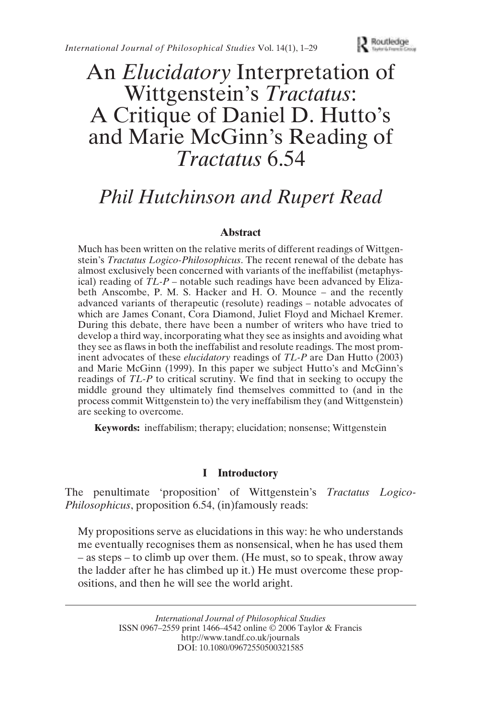*International Journal of Philosophical Studies* Vol. 14(1), 1–29



# An *Elucidatory* Interpretation of Wittgenstein's *Tractatus*: A Critique of Daniel D. Hutto's and Marie McGinn's Reading of *Tractatus* 6.54

# *Phil Hutchinson and Rupert Read*

# **Abstract**

Much has been written on the relative merits of different readings of Wittgenstein's *Tractatus Logico-Philosophicus*. The recent renewal of the debate has almost exclusively been concerned with variants of the ineffabilist (metaphysical) reading of *TL-P* – notable such readings have been advanced by Elizabeth Anscombe, P. M. S. Hacker and H. O. Mounce – and the recently advanced variants of therapeutic (resolute) readings – notable advocates of which are James Conant, Cora Diamond, Juliet Floyd and Michael Kremer. During this debate, there have been a number of writers who have tried to develop a third way, incorporating what they see as insights and avoiding what they see as flaws in both the ineffabilist and resolute readings. The most prominent advocates of these *elucidatory* readings of *TL-P* are Dan Hutto (2003) and Marie McGinn (1999). In this paper we subject Hutto's and McGinn's readings of *TL-P* to critical scrutiny. We find that in seeking to occupy the middle ground they ultimately find themselves committed to (and in the process commit Wittgenstein to) the very ineffabilism they (and Wittgenstein) are seeking to overcome.

**Keywords:** ineffabilism; therapy; elucidation; nonsense; Wittgenstein

## **I Introductory**

The penultimate 'proposition' of Wittgenstein's *Tractatus Logico-Philosophicus*, proposition 6.54, (in)famously reads:

My propositions serve as elucidations in this way: he who understands me eventually recognises them as nonsensical, when he has used them – as steps – to climb up over them. (He must, so to speak, throw away the ladder after he has climbed up it.) He must overcome these propositions, and then he will see the world aright.

> *International Journal of Philosophical Studies* ISSN 0967–2559 print 1466–4542 online © 2006 Taylor & Francis http://www.tandf.co.uk/journals DOI: 10.1080/09672550500321585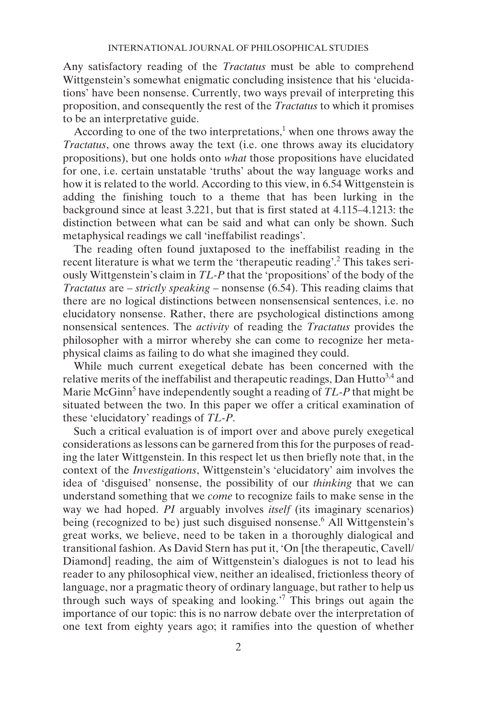Any satisfactory reading of the *Tractatus* must be able to comprehend Wittgenstein's somewhat enigmatic concluding insistence that his 'elucidations' have been nonsense. Currently, two ways prevail of interpreting this proposition, and consequently the rest of the *Tractatus* to which it promises to be an interpretative guide.

According to one of the two interpretations, $<sup>1</sup>$  when one throws away the</sup> *Tractatus*, one throws away the text (i.e. one throws away its elucidatory propositions), but one holds onto *what* those propositions have elucidated for one, i.e. certain unstatable 'truths' about the way language works and how it is related to the world. According to this view, in 6.54 Wittgenstein is adding the finishing touch to a theme that has been lurking in the background since at least 3.221, but that is first stated at 4.115–4.1213: the distinction between what can be said and what can only be shown. Such metaphysical readings we call 'ineffabilist readings'.

The reading often found juxtaposed to the ineffabilist reading in the recent literature is what we term the 'therapeutic reading'.2 This takes seriously Wittgenstein's claim in *TL-P* that the 'propositions' of the body of the *Tractatus* are – *strictly speaking* – nonsense (6.54). This reading claims that there are no logical distinctions between nonsensensical sentences, i.e. no elucidatory nonsense. Rather, there are psychological distinctions among nonsensical sentences. The *activity* of reading the *Tractatus* provides the philosopher with a mirror whereby she can come to recognize her metaphysical claims as failing to do what she imagined they could.

While much current exegetical debate has been concerned with the relative merits of the ineffabilist and therapeutic readings, Dan Hutto $^{3,4}$  and Marie McGinn5 have independently sought a reading of *TL-P* that might be situated between the two. In this paper we offer a critical examination of these 'elucidatory' readings of *TL-P*.

Such a critical evaluation is of import over and above purely exegetical considerations as lessons can be garnered from this for the purposes of reading the later Wittgenstein. In this respect let us then briefly note that, in the context of the *Investigations*, Wittgenstein's 'elucidatory' aim involves the idea of 'disguised' nonsense, the possibility of our *thinking* that we can understand something that we *come* to recognize fails to make sense in the way we had hoped. *PI* arguably involves *itself* (its imaginary scenarios) being (recognized to be) just such disguised nonsense.<sup>6</sup> All Wittgenstein's great works, we believe, need to be taken in a thoroughly dialogical and transitional fashion. As David Stern has put it, 'On [the therapeutic, Cavell/ Diamond] reading, the aim of Wittgenstein's dialogues is not to lead his reader to any philosophical view, neither an idealised, frictionless theory of language, nor a pragmatic theory of ordinary language, but rather to help us through such ways of speaking and looking.'7 This brings out again the importance of our topic: this is no narrow debate over the interpretation of one text from eighty years ago; it ramifies into the question of whether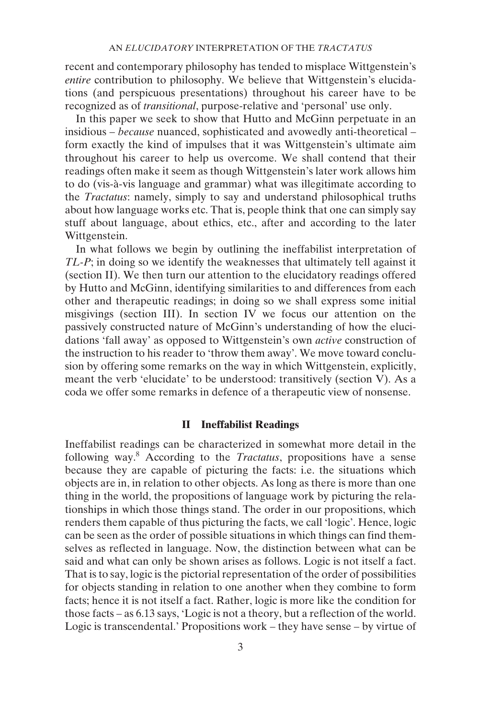recent and contemporary philosophy has tended to misplace Wittgenstein's *entire* contribution to philosophy. We believe that Wittgenstein's elucidations (and perspicuous presentations) throughout his career have to be recognized as of *transitional*, purpose-relative and 'personal' use only.

In this paper we seek to show that Hutto and McGinn perpetuate in an insidious – *because* nuanced, sophisticated and avowedly anti-theoretical – form exactly the kind of impulses that it was Wittgenstein's ultimate aim throughout his career to help us overcome. We shall contend that their readings often make it seem as though Wittgenstein's later work allows him to do (vis-à-vis language and grammar) what was illegitimate according to the *Tractatus*: namely, simply to say and understand philosophical truths about how language works etc. That is, people think that one can simply say stuff about language, about ethics, etc., after and according to the later Wittgenstein.

In what follows we begin by outlining the ineffabilist interpretation of *TL-P*; in doing so we identify the weaknesses that ultimately tell against it (section II). We then turn our attention to the elucidatory readings offered by Hutto and McGinn, identifying similarities to and differences from each other and therapeutic readings; in doing so we shall express some initial misgivings (section III). In section IV we focus our attention on the passively constructed nature of McGinn's understanding of how the elucidations 'fall away' as opposed to Wittgenstein's own *active* construction of the instruction to his reader to 'throw them away'. We move toward conclusion by offering some remarks on the way in which Wittgenstein, explicitly, meant the verb 'elucidate' to be understood: transitively (section V). As a coda we offer some remarks in defence of a therapeutic view of nonsense.

#### **II Ineffabilist Readings**

Ineffabilist readings can be characterized in somewhat more detail in the following way.8 According to the *Tractatus*, propositions have a sense because they are capable of picturing the facts: i.e. the situations which objects are in, in relation to other objects. As long as there is more than one thing in the world, the propositions of language work by picturing the relationships in which those things stand. The order in our propositions, which renders them capable of thus picturing the facts, we call 'logic'. Hence, logic can be seen as the order of possible situations in which things can find themselves as reflected in language. Now, the distinction between what can be said and what can only be shown arises as follows. Logic is not itself a fact. That is to say, logic is the pictorial representation of the order of possibilities for objects standing in relation to one another when they combine to form facts; hence it is not itself a fact. Rather, logic is more like the condition for those facts – as 6.13 says, 'Logic is not a theory, but a reflection of the world. Logic is transcendental.' Propositions work – they have sense – by virtue of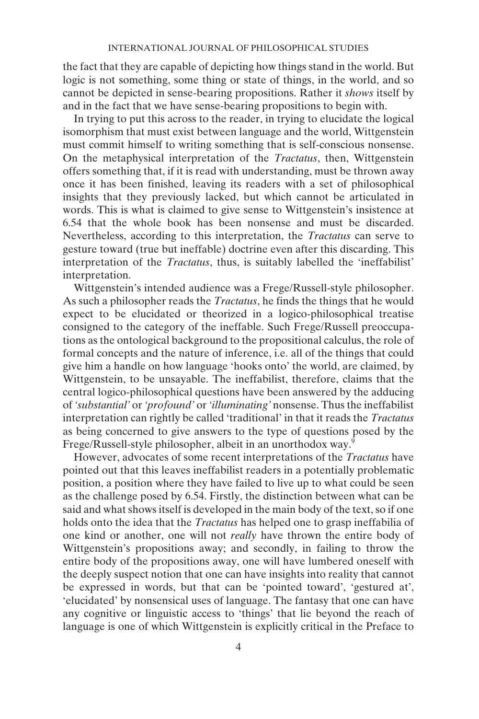the fact that they are capable of depicting how things stand in the world. But logic is not something, some thing or state of things, in the world, and so cannot be depicted in sense-bearing propositions. Rather it *shows* itself by and in the fact that we have sense-bearing propositions to begin with.

In trying to put this across to the reader, in trying to elucidate the logical isomorphism that must exist between language and the world, Wittgenstein must commit himself to writing something that is self-conscious nonsense. On the metaphysical interpretation of the *Tractatus*, then, Wittgenstein offers something that, if it is read with understanding, must be thrown away once it has been finished, leaving its readers with a set of philosophical insights that they previously lacked, but which cannot be articulated in words. This is what is claimed to give sense to Wittgenstein's insistence at 6.54 that the whole book has been nonsense and must be discarded. Nevertheless, according to this interpretation, the *Tractatus* can serve to gesture toward (true but ineffable) doctrine even after this discarding. This interpretation of the *Tractatus*, thus, is suitably labelled the 'ineffabilist' interpretation.

Wittgenstein's intended audience was a Frege/Russell-style philosopher. As such a philosopher reads the *Tractatus*, he finds the things that he would expect to be elucidated or theorized in a logico-philosophical treatise consigned to the category of the ineffable. Such Frege/Russell preoccupations as the ontological background to the propositional calculus, the role of formal concepts and the nature of inference, i.e. all of the things that could give him a handle on how language 'hooks onto' the world, are claimed, by Wittgenstein, to be unsayable. The ineffabilist, therefore, claims that the central logico-philosophical questions have been answered by the adducing of *'substantial'* or *'profound'* or *'illuminating'* nonsense. Thus the ineffabilist interpretation can rightly be called 'traditional' in that it reads the *Tractatus* as being concerned to give answers to the type of questions posed by the Frege/Russell-style philosopher, albeit in an unorthodox way.<sup>9</sup>

However, advocates of some recent interpretations of the *Tractatus* have pointed out that this leaves ineffabilist readers in a potentially problematic position, a position where they have failed to live up to what could be seen as the challenge posed by 6.54. Firstly, the distinction between what can be said and what shows itself is developed in the main body of the text, so if one holds onto the idea that the *Tractatus* has helped one to grasp ineffabilia of one kind or another, one will not *really* have thrown the entire body of Wittgenstein's propositions away; and secondly, in failing to throw the entire body of the propositions away, one will have lumbered oneself with the deeply suspect notion that one can have insights into reality that cannot be expressed in words, but that can be 'pointed toward', 'gestured at', 'elucidated' by nonsensical uses of language. The fantasy that one can have any cognitive or linguistic access to 'things' that lie beyond the reach of language is one of which Wittgenstein is explicitly critical in the Preface to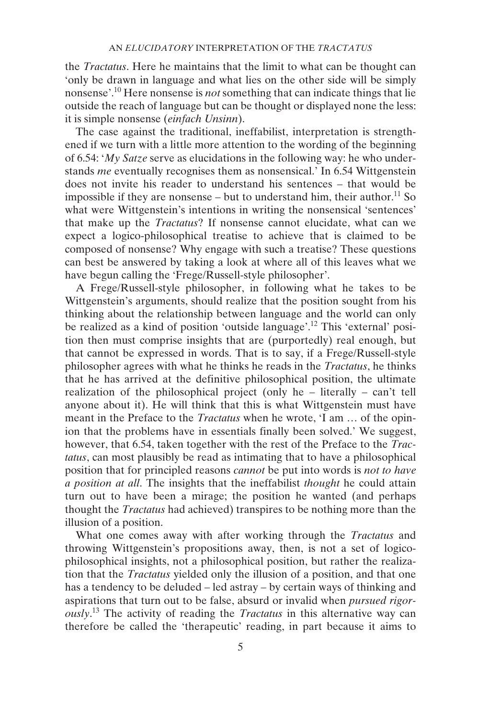the *Tractatus*. Here he maintains that the limit to what can be thought can 'only be drawn in language and what lies on the other side will be simply nonsense'.10 Here nonsense is *not* something that can indicate things that lie outside the reach of language but can be thought or displayed none the less: it is simple nonsense (*einfach Unsinn*).

The case against the traditional, ineffabilist, interpretation is strengthened if we turn with a little more attention to the wording of the beginning of 6.54: '*My Satze* serve as elucidations in the following way: he who understands *me* eventually recognises them as nonsensical.' In 6.54 Wittgenstein does not invite his reader to understand his sentences – that would be impossible if they are nonsense – but to understand him, their author.<sup>11</sup> So what were Wittgenstein's intentions in writing the nonsensical 'sentences' that make up the *Tractatus*? If nonsense cannot elucidate, what can we expect a logico-philosophical treatise to achieve that is claimed to be composed of nonsense? Why engage with such a treatise? These questions can best be answered by taking a look at where all of this leaves what we have begun calling the 'Frege/Russell-style philosopher'.

A Frege/Russell-style philosopher, in following what he takes to be Wittgenstein's arguments, should realize that the position sought from his thinking about the relationship between language and the world can only be realized as a kind of position 'outside language'.<sup>12</sup> This 'external' position then must comprise insights that are (purportedly) real enough, but that cannot be expressed in words. That is to say, if a Frege/Russell-style philosopher agrees with what he thinks he reads in the *Tractatus*, he thinks that he has arrived at the definitive philosophical position, the ultimate realization of the philosophical project (only he – literally – can't tell anyone about it). He will think that this is what Wittgenstein must have meant in the Preface to the *Tractatus* when he wrote, 'I am … of the opinion that the problems have in essentials finally been solved.' We suggest, however, that 6.54, taken together with the rest of the Preface to the *Tractatus*, can most plausibly be read as intimating that to have a philosophical position that for principled reasons *cannot* be put into words is *not to have a position at all*. The insights that the ineffabilist *thought* he could attain turn out to have been a mirage; the position he wanted (and perhaps thought the *Tractatus* had achieved) transpires to be nothing more than the illusion of a position.

What one comes away with after working through the *Tractatus* and throwing Wittgenstein's propositions away, then, is not a set of logicophilosophical insights, not a philosophical position, but rather the realization that the *Tractatus* yielded only the illusion of a position, and that one has a tendency to be deluded – led astray – by certain ways of thinking and aspirations that turn out to be false, absurd or invalid when *pursued rigorously*. <sup>13</sup> The activity of reading the *Tractatus* in this alternative way can therefore be called the 'therapeutic' reading, in part because it aims to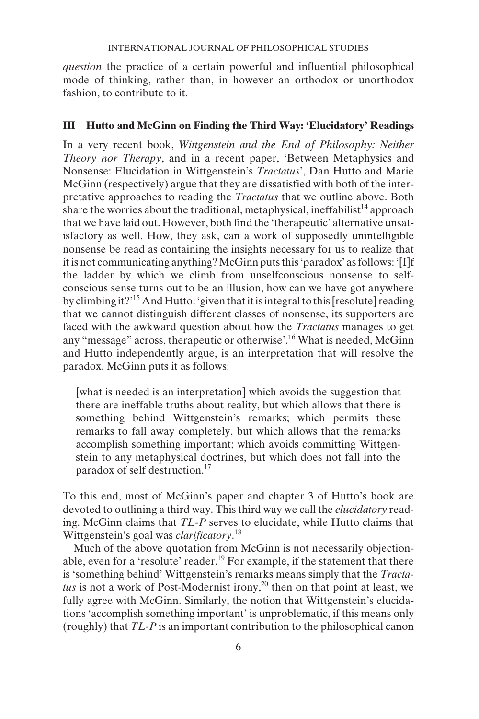*question* the practice of a certain powerful and influential philosophical mode of thinking, rather than, in however an orthodox or unorthodox fashion, to contribute to it.

# **III Hutto and McGinn on Finding the Third Way: 'Elucidatory' Readings**

In a very recent book, *Wittgenstein and the End of Philosophy: Neither Theory nor Therapy*, and in a recent paper, 'Between Metaphysics and Nonsense: Elucidation in Wittgenstein's *Tractatus*', Dan Hutto and Marie McGinn (respectively) argue that they are dissatisfied with both of the interpretative approaches to reading the *Tractatus* that we outline above. Both share the worries about the traditional, metaphysical, ineffabilist<sup>14</sup> approach that we have laid out. However, both find the 'therapeutic' alternative unsatisfactory as well. How, they ask, can a work of supposedly unintelligible nonsense be read as containing the insights necessary for us to realize that it is not communicating anything? McGinn puts this 'paradox' as follows: '[I]f the ladder by which we climb from unselfconscious nonsense to selfconscious sense turns out to be an illusion, how can we have got anywhere by climbing it?'15 And Hutto: 'given that it is integral to this [resolute] reading that we cannot distinguish different classes of nonsense, its supporters are faced with the awkward question about how the *Tractatus* manages to get any "message" across, therapeutic or otherwise'.16 What is needed, McGinn and Hutto independently argue, is an interpretation that will resolve the paradox. McGinn puts it as follows:

[what is needed is an interpretation] which avoids the suggestion that there are ineffable truths about reality, but which allows that there is something behind Wittgenstein's remarks; which permits these remarks to fall away completely, but which allows that the remarks accomplish something important; which avoids committing Wittgenstein to any metaphysical doctrines, but which does not fall into the paradox of self destruction.17

To this end, most of McGinn's paper and chapter 3 of Hutto's book are devoted to outlining a third way. This third way we call the *elucidatory* reading. McGinn claims that *TL-P* serves to elucidate, while Hutto claims that Wittgenstein's goal was *clarificatory*. 18

Much of the above quotation from McGinn is not necessarily objectionable, even for a 'resolute' reader.<sup>19</sup> For example, if the statement that there is 'something behind' Wittgenstein's remarks means simply that the *Tractatus* is not a work of Post-Modernist irony,<sup>20</sup> then on that point at least, we fully agree with McGinn. Similarly, the notion that Wittgenstein's elucidations 'accomplish something important' is unproblematic, if this means only (roughly) that *TL-P* is an important contribution to the philosophical canon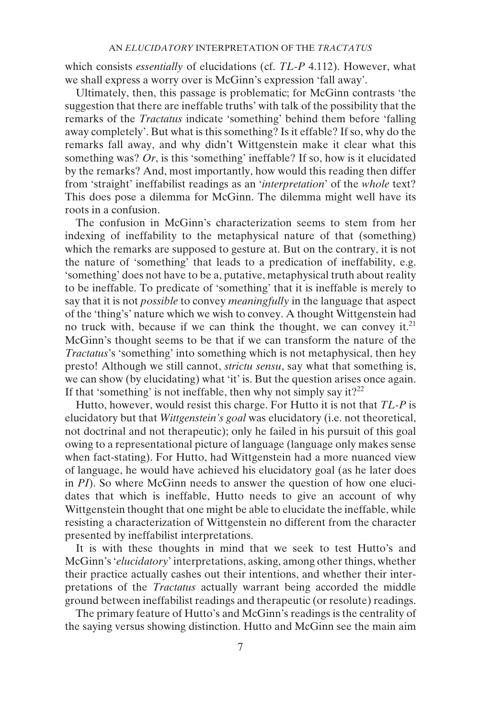which consists *essentially* of elucidations (cf. *TL-P* 4.112). However, what we shall express a worry over is McGinn's expression 'fall away'.

Ultimately, then, this passage is problematic; for McGinn contrasts 'the suggestion that there are ineffable truths' with talk of the possibility that the remarks of the *Tractatus* indicate 'something' behind them before 'falling away completely'. But what is this something? Is it effable? If so, why do the remarks fall away, and why didn't Wittgenstein make it clear what this something was? *Or*, is this 'something' ineffable? If so, how is it elucidated by the remarks? And, most importantly, how would this reading then differ from 'straight' ineffabilist readings as an '*interpretation*' of the *whole* text? This does pose a dilemma for McGinn. The dilemma might well have its roots in a confusion.

The confusion in McGinn's characterization seems to stem from her indexing of ineffability to the metaphysical nature of that (something) which the remarks are supposed to gesture at. But on the contrary, it is not the nature of 'something' that leads to a predication of ineffability, e.g. 'something' does not have to be a, putative, metaphysical truth about reality to be ineffable. To predicate of 'something' that it is ineffable is merely to say that it is not *possible* to convey *meaningfully* in the language that aspect of the 'thing's' nature which we wish to convey. A thought Wittgenstein had no truck with, because if we can think the thought, we can convey it.<sup>21</sup> McGinn's thought seems to be that if we can transform the nature of the *Tractatus*'s 'something' into something which is not metaphysical, then hey presto! Although we still cannot, *strictu sensu*, say what that something is, we can show (by elucidating) what 'it' is. But the question arises once again. If that 'something' is not ineffable, then why not simply say it?<sup>22</sup>

Hutto, however, would resist this charge. For Hutto it is not that *TL-P* is elucidatory but that *Wittgenstein's goal* was elucidatory (i.e. not theoretical, not doctrinal and not therapeutic); only he failed in his pursuit of this goal owing to a representational picture of language (language only makes sense when fact-stating). For Hutto, had Wittgenstein had a more nuanced view of language, he would have achieved his elucidatory goal (as he later does in *PI*). So where McGinn needs to answer the question of how one elucidates that which is ineffable, Hutto needs to give an account of why Wittgenstein thought that one might be able to elucidate the ineffable, while resisting a characterization of Wittgenstein no different from the character presented by ineffabilist interpretations.

It is with these thoughts in mind that we seek to test Hutto's and McGinn's '*elucidatory*' interpretations, asking, among other things, whether their practice actually cashes out their intentions, and whether their interpretations of the *Tractatus* actually warrant being accorded the middle ground between ineffabilist readings and therapeutic (or resolute) readings.

The primary feature of Hutto's and McGinn's readings is the centrality of the saying versus showing distinction. Hutto and McGinn see the main aim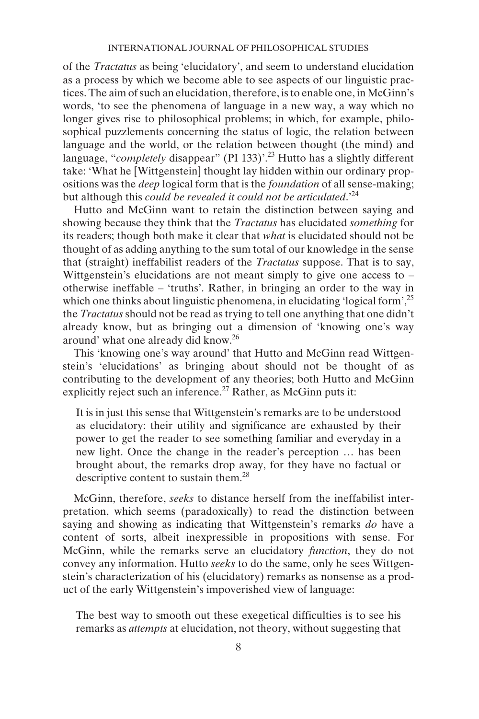of the *Tractatus* as being 'elucidatory', and seem to understand elucidation as a process by which we become able to see aspects of our linguistic practices. The aim of such an elucidation, therefore, is to enable one, in McGinn's words, 'to see the phenomena of language in a new way, a way which no longer gives rise to philosophical problems; in which, for example, philosophical puzzlements concerning the status of logic, the relation between language and the world, or the relation between thought (the mind) and language, "*completely* disappear" (PI 133)'.23 Hutto has a slightly different take: 'What he [Wittgenstein] thought lay hidden within our ordinary propositions was the *deep* logical form that is the *foundation* of all sense-making; but although this *could be revealed it could not be articulated*.'24

Hutto and McGinn want to retain the distinction between saying and showing because they think that the *Tractatus* has elucidated *something* for its readers; though both make it clear that *what* is elucidated should not be thought of as adding anything to the sum total of our knowledge in the sense that (straight) ineffabilist readers of the *Tractatus* suppose. That is to say, Wittgenstein's elucidations are not meant simply to give one access to – otherwise ineffable – 'truths'. Rather, in bringing an order to the way in which one thinks about linguistic phenomena, in elucidating 'logical form',<sup>25</sup> the *Tractatus*should not be read as trying to tell one anything that one didn't already know, but as bringing out a dimension of 'knowing one's way around' what one already did know.26

This 'knowing one's way around' that Hutto and McGinn read Wittgenstein's 'elucidations' as bringing about should not be thought of as contributing to the development of any theories; both Hutto and McGinn explicitly reject such an inference.<sup>27</sup> Rather, as McGinn puts it:

It is in just this sense that Wittgenstein's remarks are to be understood as elucidatory: their utility and significance are exhausted by their power to get the reader to see something familiar and everyday in a new light. Once the change in the reader's perception … has been brought about, the remarks drop away, for they have no factual or descriptive content to sustain them.28

McGinn, therefore, *seeks* to distance herself from the ineffabilist interpretation, which seems (paradoxically) to read the distinction between saying and showing as indicating that Wittgenstein's remarks *do* have a content of sorts, albeit inexpressible in propositions with sense. For McGinn, while the remarks serve an elucidatory *function*, they do not convey any information. Hutto *seeks* to do the same, only he sees Wittgenstein's characterization of his (elucidatory) remarks as nonsense as a product of the early Wittgenstein's impoverished view of language:

The best way to smooth out these exegetical difficulties is to see his remarks as *attempts* at elucidation, not theory, without suggesting that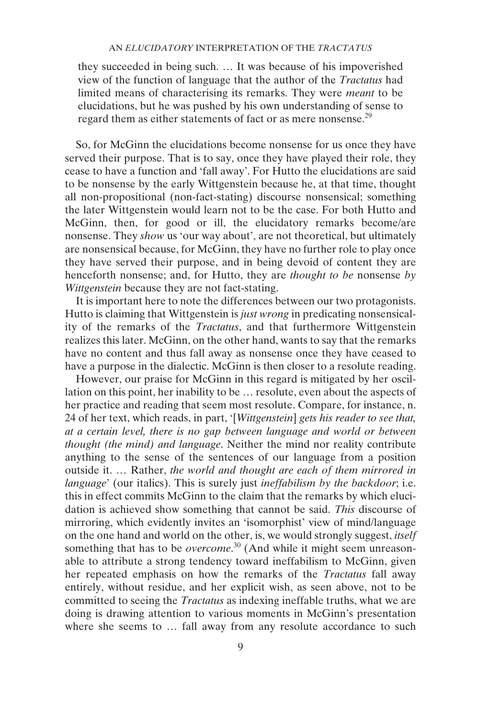they succeeded in being such. … It was because of his impoverished view of the function of language that the author of the *Tractatus* had limited means of characterising its remarks. They were *meant* to be elucidations, but he was pushed by his own understanding of sense to regard them as either statements of fact or as mere nonsense.29

So, for McGinn the elucidations become nonsense for us once they have served their purpose. That is to say, once they have played their role, they cease to have a function and 'fall away'. For Hutto the elucidations are said to be nonsense by the early Wittgenstein because he, at that time, thought all non-propositional (non-fact-stating) discourse nonsensical; something the later Wittgenstein would learn not to be the case. For both Hutto and McGinn, then, for good or ill, the elucidatory remarks become/are nonsense. They *show* us 'our way about', are not theoretical, but ultimately are nonsensical because, for McGinn, they have no further role to play once they have served their purpose, and in being devoid of content they are henceforth nonsense; and, for Hutto, they are *thought to be* nonsense *by Wittgenstein* because they are not fact-stating.

It is important here to note the differences between our two protagonists. Hutto is claiming that Wittgenstein is *just wrong* in predicating nonsensicality of the remarks of the *Tractatus*, and that furthermore Wittgenstein realizes this later. McGinn, on the other hand, wants to say that the remarks have no content and thus fall away as nonsense once they have ceased to have a purpose in the dialectic. McGinn is then closer to a resolute reading.

However, our praise for McGinn in this regard is mitigated by her oscillation on this point, her inability to be … resolute, even about the aspects of her practice and reading that seem most resolute. Compare, for instance, n. 24 of her text, which reads, in part, '[*Wittgenstein*] *gets his reader to see that, at a certain level, there is no gap between language and world or between thought (the mind) and language*. Neither the mind nor reality contribute anything to the sense of the sentences of our language from a position outside it. … Rather, *the world and thought are each of them mirrored in language*' (our italics). This is surely just *ineffabilism by the backdoor*; i.e. this in effect commits McGinn to the claim that the remarks by which elucidation is achieved show something that cannot be said. *This* discourse of mirroring, which evidently invites an 'isomorphist' view of mind/language on the one hand and world on the other, is, we would strongly suggest, *itself* something that has to be *overcome*. <sup>30</sup> (And while it might seem unreasonable to attribute a strong tendency toward ineffabilism to McGinn, given her repeated emphasis on how the remarks of the *Tractatus* fall away entirely, without residue, and her explicit wish, as seen above, not to be committed to seeing the *Tractatus* as indexing ineffable truths, what we are doing is drawing attention to various moments in McGinn's presentation where she seems to … fall away from any resolute accordance to such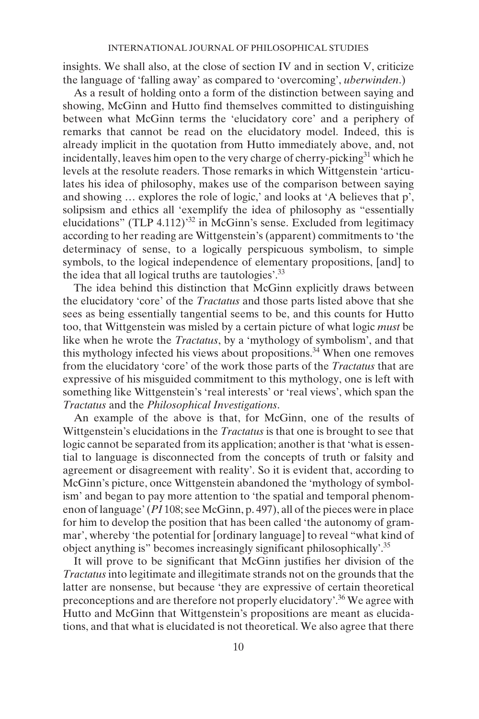insights. We shall also, at the close of section IV and in section V, criticize the language of 'falling away' as compared to 'overcoming', *uberwinden*.)

As a result of holding onto a form of the distinction between saying and showing, McGinn and Hutto find themselves committed to distinguishing between what McGinn terms the 'elucidatory core' and a periphery of remarks that cannot be read on the elucidatory model. Indeed, this is already implicit in the quotation from Hutto immediately above, and, not incidentally, leaves him open to the very charge of cherry-picking<sup>31</sup> which he levels at the resolute readers. Those remarks in which Wittgenstein 'articulates his idea of philosophy, makes use of the comparison between saying and showing … explores the role of logic,' and looks at 'A believes that p', solipsism and ethics all 'exemplify the idea of philosophy as "essentially elucidations" (TLP 4.112)'32 in McGinn's sense. Excluded from legitimacy according to her reading are Wittgenstein's (apparent) commitments to 'the determinacy of sense, to a logically perspicuous symbolism, to simple symbols, to the logical independence of elementary propositions, [and] to the idea that all logical truths are tautologies'.<sup>33</sup>

The idea behind this distinction that McGinn explicitly draws between the elucidatory 'core' of the *Tractatus* and those parts listed above that she sees as being essentially tangential seems to be, and this counts for Hutto too, that Wittgenstein was misled by a certain picture of what logic *must* be like when he wrote the *Tractatus*, by a 'mythology of symbolism', and that this mythology infected his views about propositions.<sup>34</sup> When one removes from the elucidatory 'core' of the work those parts of the *Tractatus* that are expressive of his misguided commitment to this mythology, one is left with something like Wittgenstein's 'real interests' or 'real views', which span the *Tractatus* and the *Philosophical Investigations*.

An example of the above is that, for McGinn, one of the results of Wittgenstein's elucidations in the *Tractatus* is that one is brought to see that logic cannot be separated from its application; another is that 'what is essential to language is disconnected from the concepts of truth or falsity and agreement or disagreement with reality'. So it is evident that, according to McGinn's picture, once Wittgenstein abandoned the 'mythology of symbolism' and began to pay more attention to 'the spatial and temporal phenomenon of language' (*PI* 108; see McGinn, p. 497), all of the pieces were in place for him to develop the position that has been called 'the autonomy of grammar', whereby 'the potential for [ordinary language] to reveal "what kind of object anything is" becomes increasingly significant philosophically'.35

It will prove to be significant that McGinn justifies her division of the *Tractatus* into legitimate and illegitimate strands not on the grounds that the latter are nonsense, but because 'they are expressive of certain theoretical preconceptions and are therefore not properly elucidatory'.<sup>36</sup> We agree with Hutto and McGinn that Wittgenstein's propositions are meant as elucidations, and that what is elucidated is not theoretical. We also agree that there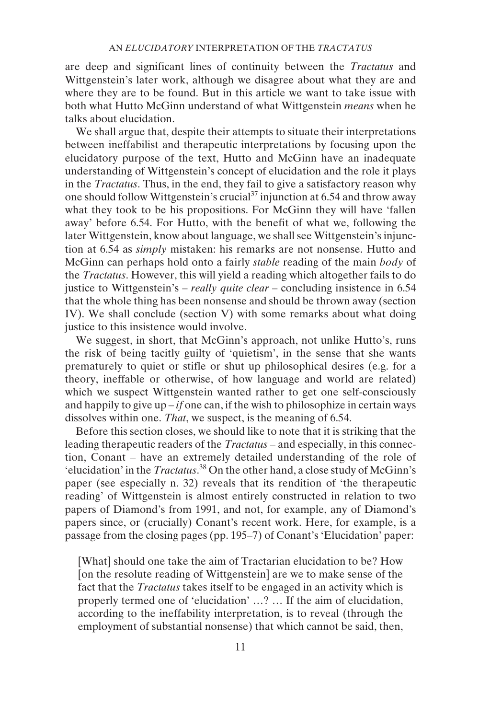are deep and significant lines of continuity between the *Tractatus* and Wittgenstein's later work, although we disagree about what they are and where they are to be found. But in this article we want to take issue with both what Hutto McGinn understand of what Wittgenstein *means* when he talks about elucidation.

We shall argue that, despite their attempts to situate their interpretations between ineffabilist and therapeutic interpretations by focusing upon the elucidatory purpose of the text, Hutto and McGinn have an inadequate understanding of Wittgenstein's concept of elucidation and the role it plays in the *Tractatus*. Thus, in the end, they fail to give a satisfactory reason why one should follow Wittgenstein's crucial<sup>37</sup> injunction at 6.54 and throw away what they took to be his propositions. For McGinn they will have 'fallen away' before 6.54. For Hutto, with the benefit of what we, following the later Wittgenstein, know about language, we shall see Wittgenstein's injunction at 6.54 as *simply* mistaken: his remarks are not nonsense. Hutto and McGinn can perhaps hold onto a fairly *stable* reading of the main *body* of the *Tractatus*. However, this will yield a reading which altogether fails to do justice to Wittgenstein's – *really quite clear* – concluding insistence in 6.54 that the whole thing has been nonsense and should be thrown away (section IV). We shall conclude (section V) with some remarks about what doing justice to this insistence would involve.

We suggest, in short, that McGinn's approach, not unlike Hutto's, runs the risk of being tacitly guilty of 'quietism', in the sense that she wants prematurely to quiet or stifle or shut up philosophical desires (e.g. for a theory, ineffable or otherwise, of how language and world are related) which we suspect Wittgenstein wanted rather to get one self-consciously and happily to give up  $-i f$  one can, if the wish to philosophize in certain ways dissolves within one. *That*, we suspect, is the meaning of 6.54.

Before this section closes, we should like to note that it is striking that the leading therapeutic readers of the *Tractatus* – and especially, in this connection, Conant – have an extremely detailed understanding of the role of 'elucidation' in the *Tractatus*. <sup>38</sup> On the other hand, a close study of McGinn's paper (see especially n. 32) reveals that its rendition of 'the therapeutic reading' of Wittgenstein is almost entirely constructed in relation to two papers of Diamond's from 1991, and not, for example, any of Diamond's papers since, or (crucially) Conant's recent work. Here, for example, is a passage from the closing pages (pp. 195–7) of Conant's 'Elucidation' paper:

[What] should one take the aim of Tractarian elucidation to be? How [on the resolute reading of Wittgenstein] are we to make sense of the fact that the *Tractatus* takes itself to be engaged in an activity which is properly termed one of 'elucidation' …? … If the aim of elucidation, according to the ineffability interpretation, is to reveal (through the employment of substantial nonsense) that which cannot be said, then,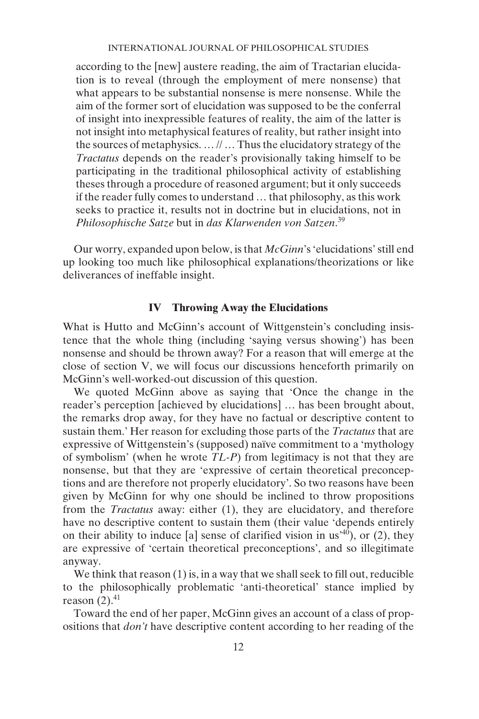#### INTERNATIONAL JOURNAL OF PHILOSOPHICAL STUDIES

according to the [new] austere reading, the aim of Tractarian elucidation is to reveal (through the employment of mere nonsense) that what appears to be substantial nonsense is mere nonsense. While the aim of the former sort of elucidation was supposed to be the conferral of insight into inexpressible features of reality, the aim of the latter is not insight into metaphysical features of reality, but rather insight into the sources of metaphysics. … // … Thus the elucidatory strategy of the *Tractatus* depends on the reader's provisionally taking himself to be participating in the traditional philosophical activity of establishing theses through a procedure of reasoned argument; but it only succeeds if the reader fully comes to understand … that philosophy, as this work seeks to practice it, results not in doctrine but in elucidations, not in *Philosophische Satze* but in *das Klarwenden von Satzen*. 39

Our worry, expanded upon below, is that *McGinn*'s 'elucidations' still end up looking too much like philosophical explanations/theorizations or like deliverances of ineffable insight.

# **IV Throwing Away the Elucidations**

What is Hutto and McGinn's account of Wittgenstein's concluding insistence that the whole thing (including 'saying versus showing') has been nonsense and should be thrown away? For a reason that will emerge at the close of section V, we will focus our discussions henceforth primarily on McGinn's well-worked-out discussion of this question.

We quoted McGinn above as saying that 'Once the change in the reader's perception [achieved by elucidations] … has been brought about, the remarks drop away, for they have no factual or descriptive content to sustain them.' Her reason for excluding those parts of the *Tractatus* that are expressive of Wittgenstein's (supposed) naïve commitment to a 'mythology of symbolism' (when he wrote *TL-P*) from legitimacy is not that they are nonsense, but that they are 'expressive of certain theoretical preconceptions and are therefore not properly elucidatory'. So two reasons have been given by McGinn for why one should be inclined to throw propositions from the *Tractatus* away: either (1), they are elucidatory, and therefore have no descriptive content to sustain them (their value 'depends entirely on their ability to induce [a] sense of clarified vision in us<sup> $(40)$ </sup>, or (2), they are expressive of 'certain theoretical preconceptions', and so illegitimate anyway.

We think that reason (1) is, in a way that we shall seek to fill out, reducible to the philosophically problematic 'anti-theoretical' stance implied by reason  $(2)$ .<sup>41</sup>

Toward the end of her paper, McGinn gives an account of a class of propositions that *don't* have descriptive content according to her reading of the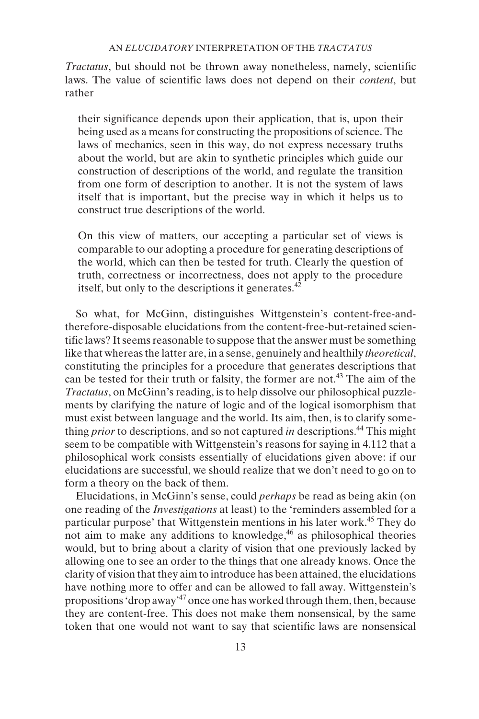*Tractatus*, but should not be thrown away nonetheless, namely, scientific laws. The value of scientific laws does not depend on their *content*, but rather

their significance depends upon their application, that is, upon their being used as a means for constructing the propositions of science. The laws of mechanics, seen in this way, do not express necessary truths about the world, but are akin to synthetic principles which guide our construction of descriptions of the world, and regulate the transition from one form of description to another. It is not the system of laws itself that is important, but the precise way in which it helps us to construct true descriptions of the world.

On this view of matters, our accepting a particular set of views is comparable to our adopting a procedure for generating descriptions of the world, which can then be tested for truth. Clearly the question of truth, correctness or incorrectness, does not apply to the procedure itself, but only to the descriptions it generates. $42$ 

So what, for McGinn, distinguishes Wittgenstein's content-free-andtherefore-disposable elucidations from the content-free-but-retained scientific laws? It seems reasonable to suppose that the answer must be something like that whereas the latter are, in a sense, genuinely and healthily *theoretical*, constituting the principles for a procedure that generates descriptions that can be tested for their truth or falsity, the former are not.43 The aim of the *Tractatus*, on McGinn's reading, is to help dissolve our philosophical puzzlements by clarifying the nature of logic and of the logical isomorphism that must exist between language and the world. Its aim, then, is to clarify something *prior* to descriptions, and so not captured *in* descriptions.44 This might seem to be compatible with Wittgenstein's reasons for saying in 4.112 that a philosophical work consists essentially of elucidations given above: if our elucidations are successful, we should realize that we don't need to go on to form a theory on the back of them.

Elucidations, in McGinn's sense, could *perhaps* be read as being akin (on one reading of the *Investigations* at least) to the 'reminders assembled for a particular purpose' that Wittgenstein mentions in his later work.45 They do not aim to make any additions to knowledge, $46$  as philosophical theories would, but to bring about a clarity of vision that one previously lacked by allowing one to see an order to the things that one already knows. Once the clarity of vision that they aim to introduce has been attained, the elucidations have nothing more to offer and can be allowed to fall away. Wittgenstein's propositions 'drop away'47 once one has worked through them, then, because they are content-free. This does not make them nonsensical, by the same token that one would not want to say that scientific laws are nonsensical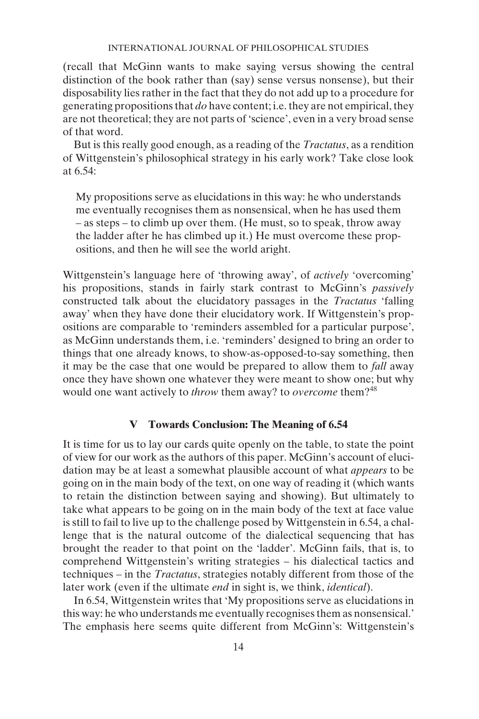(recall that McGinn wants to make saying versus showing the central distinction of the book rather than (say) sense versus nonsense), but their disposability lies rather in the fact that they do not add up to a procedure for generating propositions that *do* have content; i.e. they are not empirical, they are not theoretical; they are not parts of 'science', even in a very broad sense of that word.

But is this really good enough, as a reading of the *Tractatus*, as a rendition of Wittgenstein's philosophical strategy in his early work? Take close look at 6.54:

My propositions serve as elucidations in this way: he who understands me eventually recognises them as nonsensical, when he has used them – as steps – to climb up over them. (He must, so to speak, throw away the ladder after he has climbed up it.) He must overcome these propositions, and then he will see the world aright.

Wittgenstein's language here of 'throwing away', of *actively* 'overcoming' his propositions, stands in fairly stark contrast to McGinn's *passively* constructed talk about the elucidatory passages in the *Tractatus* 'falling away' when they have done their elucidatory work. If Wittgenstein's propositions are comparable to 'reminders assembled for a particular purpose', as McGinn understands them, i.e. 'reminders' designed to bring an order to things that one already knows, to show-as-opposed-to-say something, then it may be the case that one would be prepared to allow them to *fall* away once they have shown one whatever they were meant to show one; but why would one want actively to *throw* them away? to *overcome* them?<sup>48</sup>

### **V Towards Conclusion: The Meaning of 6.54**

It is time for us to lay our cards quite openly on the table, to state the point of view for our work as the authors of this paper. McGinn's account of elucidation may be at least a somewhat plausible account of what *appears* to be going on in the main body of the text, on one way of reading it (which wants to retain the distinction between saying and showing). But ultimately to take what appears to be going on in the main body of the text at face value is still to fail to live up to the challenge posed by Wittgenstein in 6.54, a challenge that is the natural outcome of the dialectical sequencing that has brought the reader to that point on the 'ladder'. McGinn fails, that is, to comprehend Wittgenstein's writing strategies – his dialectical tactics and techniques – in the *Tractatus*, strategies notably different from those of the later work (even if the ultimate *end* in sight is, we think, *identical*).

In 6.54, Wittgenstein writes that 'My propositions serve as elucidations in this way: he who understands me eventually recognises them as nonsensical.' The emphasis here seems quite different from McGinn's: Wittgenstein's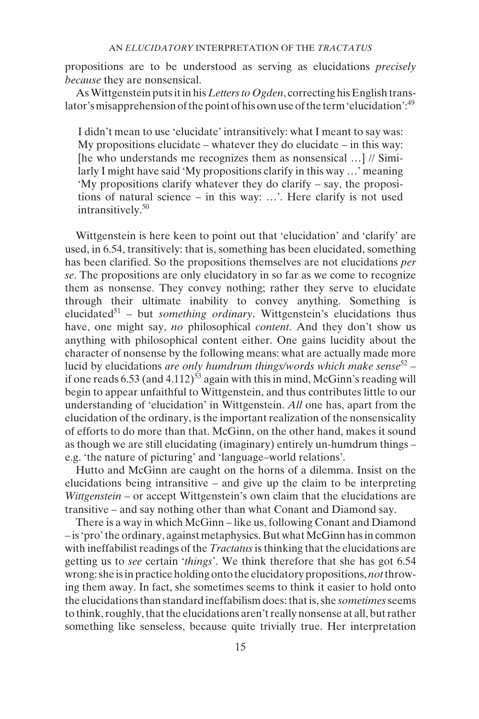propositions are to be understood as serving as elucidations *precisely because* they are nonsensical.

As Wittgenstein puts it in his *Letters to Ogden*, correcting his English translator's misapprehension of the point of his own use of the term 'elucidation':49

I didn't mean to use 'elucidate' intransitively: what I meant to say was: My propositions elucidate – whatever they do elucidate – in this way: [he who understands me recognizes them as nonsensical …] // Similarly I might have said 'My propositions clarify in this way …' meaning 'My propositions clarify whatever they do clarify – say, the propositions of natural science – in this way: …'. Here clarify is not used intransitively.50

Wittgenstein is here keen to point out that 'elucidation' and 'clarify' are used, in 6.54, transitively: that is, something has been elucidated, something has been clarified. So the propositions themselves are not elucidations *per se*. The propositions are only elucidatory in so far as we come to recognize them as nonsense. They convey nothing; rather they serve to elucidate through their ultimate inability to convey anything. Something is elucidated<sup>51</sup> – but *something ordinary*. Wittgenstein's elucidations thus have, one might say, *no* philosophical *content*. And they don't show us anything with philosophical content either. One gains lucidity about the character of nonsense by the following means: what are actually made more lucid by elucidations *are only humdrum things/words which make sense*52 – if one reads 6.53 (and  $4.112$ )<sup>53</sup> again with this in mind, McGinn's reading will begin to appear unfaithful to Wittgenstein, and thus contributes little to our understanding of 'elucidation' in Wittgenstein. *All* one has, apart from the elucidation of the ordinary, is the important realization of the nonsensicality of efforts to do more than that. McGinn, on the other hand, makes it sound as though we are still elucidating (imaginary) entirely un-humdrum things – e.g. 'the nature of picturing' and 'language–world relations'.

Hutto and McGinn are caught on the horns of a dilemma. Insist on the elucidations being intransitive – and give up the claim to be interpreting *Wittgenstein* – or accept Wittgenstein's own claim that the elucidations are transitive – and say nothing other than what Conant and Diamond say.

There is a way in which McGinn – like us, following Conant and Diamond – is 'pro' the ordinary, against metaphysics. But what McGinn has in common with ineffabilist readings of the *Tractatus*is thinking that the elucidations are getting us to *see* certain '*things*'. We think therefore that she has got 6.54 wrong: she is in practice holding onto the elucidatory propositions, *not*throwing them away. In fact, she sometimes seems to think it easier to hold onto the elucidations than standard ineffabilism does: that is, she *sometimes*seems to think, roughly, that the elucidations aren't really nonsense at all, but rather something like senseless, because quite trivially true. Her interpretation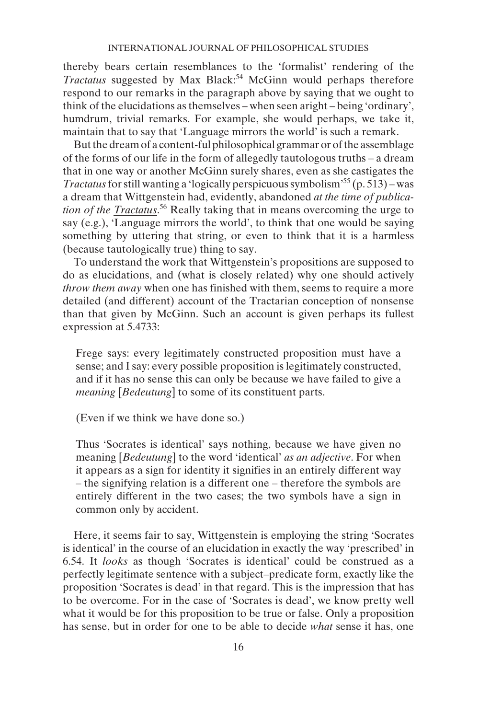thereby bears certain resemblances to the 'formalist' rendering of the *Tractatus* suggested by Max Black:54 McGinn would perhaps therefore respond to our remarks in the paragraph above by saying that we ought to think of the elucidations as themselves – when seen aright – being 'ordinary', humdrum, trivial remarks. For example, she would perhaps, we take it, maintain that to say that 'Language mirrors the world' is such a remark.

But the dream of a content-ful philosophical grammar or of the assemblage of the forms of our life in the form of allegedly tautologous truths – a dream that in one way or another McGinn surely shares, even as she castigates the *Tractatus*for still wanting a 'logically perspicuous symbolism'55 (p. 513) – was a dream that Wittgenstein had, evidently, abandoned *at the time of publication of the Tractatus*. <sup>56</sup> Really taking that in means overcoming the urge to say (e.g.), 'Language mirrors the world', to think that one would be saying something by uttering that string, or even to think that it is a harmless (because tautologically true) thing to say.

To understand the work that Wittgenstein's propositions are supposed to do as elucidations, and (what is closely related) why one should actively *throw them away* when one has finished with them, seems to require a more detailed (and different) account of the Tractarian conception of nonsense than that given by McGinn. Such an account is given perhaps its fullest expression at 5.4733:

Frege says: every legitimately constructed proposition must have a sense; and I say: every possible proposition is legitimately constructed, and if it has no sense this can only be because we have failed to give a *meaning* [*Bedeutung*] to some of its constituent parts.

(Even if we think we have done so.)

Thus 'Socrates is identical' says nothing, because we have given no meaning [*Bedeutung*] to the word 'identical' *as an adjective*. For when it appears as a sign for identity it signifies in an entirely different way – the signifying relation is a different one – therefore the symbols are entirely different in the two cases; the two symbols have a sign in common only by accident.

Here, it seems fair to say, Wittgenstein is employing the string 'Socrates is identical' in the course of an elucidation in exactly the way 'prescribed' in 6.54. It *looks* as though 'Socrates is identical' could be construed as a perfectly legitimate sentence with a subject–predicate form, exactly like the proposition 'Socrates is dead' in that regard. This is the impression that has to be overcome. For in the case of 'Socrates is dead', we know pretty well what it would be for this proposition to be true or false. Only a proposition has sense, but in order for one to be able to decide *what* sense it has, one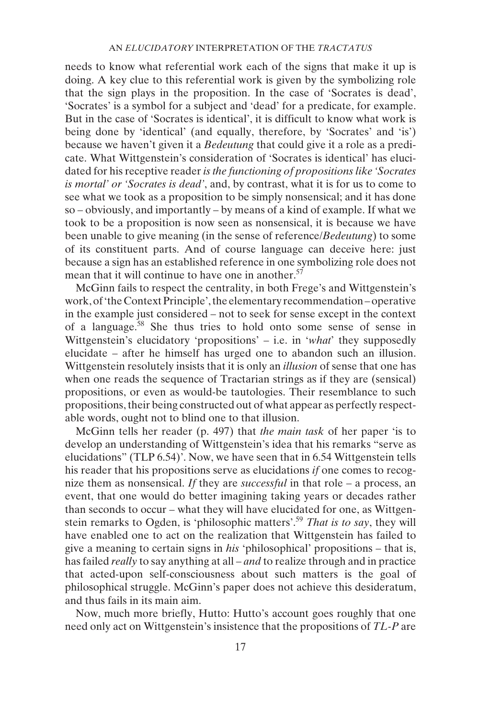needs to know what referential work each of the signs that make it up is doing. A key clue to this referential work is given by the symbolizing role that the sign plays in the proposition. In the case of 'Socrates is dead', 'Socrates' is a symbol for a subject and 'dead' for a predicate, for example. But in the case of 'Socrates is identical', it is difficult to know what work is being done by 'identical' (and equally, therefore, by 'Socrates' and 'is') because we haven't given it a *Bedeutung* that could give it a role as a predicate. What Wittgenstein's consideration of 'Socrates is identical' has elucidated for his receptive reader *is the functioning of propositions like 'Socrates is mortal' or 'Socrates is dead'*, and, by contrast, what it is for us to come to see what we took as a proposition to be simply nonsensical; and it has done so – obviously, and importantly – by means of a kind of example. If what we took to be a proposition is now seen as nonsensical, it is because we have been unable to give meaning (in the sense of reference/*Bedeutung*) to some of its constituent parts. And of course language can deceive here: just because a sign has an established reference in one symbolizing role does not mean that it will continue to have one in another.<sup>57</sup>

McGinn fails to respect the centrality, in both Frege's and Wittgenstein's work, of 'the Context Principle', the elementary recommendation – operative in the example just considered – not to seek for sense except in the context of a language.<sup>58</sup> She thus tries to hold onto some sense of sense in Wittgenstein's elucidatory 'propositions' – i.e. in '*what*' they supposedly elucidate – after he himself has urged one to abandon such an illusion. Wittgenstein resolutely insists that it is only an *illusion* of sense that one has when one reads the sequence of Tractarian strings as if they are (sensical) propositions, or even as would-be tautologies. Their resemblance to such propositions, their being constructed out of what appear as perfectly respectable words, ought not to blind one to that illusion.

McGinn tells her reader (p. 497) that *the main task* of her paper 'is to develop an understanding of Wittgenstein's idea that his remarks "serve as elucidations" (TLP 6.54)'. Now, we have seen that in 6.54 Wittgenstein tells his reader that his propositions serve as elucidations *if* one comes to recognize them as nonsensical. *If* they are *successful* in that role – a process, an event, that one would do better imagining taking years or decades rather than seconds to occur – what they will have elucidated for one, as Wittgenstein remarks to Ogden, is 'philosophic matters'.59 *That is to say*, they will have enabled one to act on the realization that Wittgenstein has failed to give a meaning to certain signs in *his* 'philosophical' propositions – that is, has failed *really* to say anything at all – *and* to realize through and in practice that acted-upon self-consciousness about such matters is the goal of philosophical struggle. McGinn's paper does not achieve this desideratum, and thus fails in its main aim.

Now, much more briefly, Hutto: Hutto's account goes roughly that one need only act on Wittgenstein's insistence that the propositions of *TL-P* are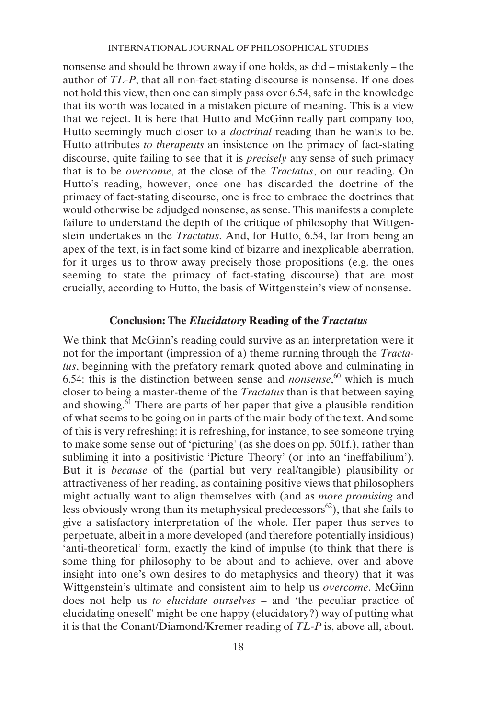nonsense and should be thrown away if one holds, as did – mistakenly – the author of *TL-P*, that all non-fact-stating discourse is nonsense. If one does not hold this view, then one can simply pass over 6.54, safe in the knowledge that its worth was located in a mistaken picture of meaning. This is a view that we reject. It is here that Hutto and McGinn really part company too, Hutto seemingly much closer to a *doctrinal* reading than he wants to be. Hutto attributes *to therapeuts* an insistence on the primacy of fact-stating discourse, quite failing to see that it is *precisely* any sense of such primacy that is to be *overcome*, at the close of the *Tractatus*, on our reading. On Hutto's reading, however, once one has discarded the doctrine of the primacy of fact-stating discourse, one is free to embrace the doctrines that would otherwise be adjudged nonsense, as sense. This manifests a complete failure to understand the depth of the critique of philosophy that Wittgenstein undertakes in the *Tractatus*. And, for Hutto, 6.54, far from being an apex of the text, is in fact some kind of bizarre and inexplicable aberration, for it urges us to throw away precisely those propositions (e.g. the ones seeming to state the primacy of fact-stating discourse) that are most crucially, according to Hutto, the basis of Wittgenstein's view of nonsense.

# **Conclusion: The** *Elucidatory* **Reading of the** *Tractatus*

We think that McGinn's reading could survive as an interpretation were it not for the important (impression of a) theme running through the *Tractatus*, beginning with the prefatory remark quoted above and culminating in 6.54: this is the distinction between sense and *nonsense*, <sup>60</sup> which is much closer to being a master-theme of the *Tractatus* than is that between saying and showing.<sup>61</sup> There are parts of her paper that give a plausible rendition of what seems to be going on in parts of the main body of the text. And some of this is very refreshing: it is refreshing, for instance, to see someone trying to make some sense out of 'picturing' (as she does on pp. 501f.), rather than subliming it into a positivistic 'Picture Theory' (or into an 'ineffabilium'). But it is *because* of the (partial but very real/tangible) plausibility or attractiveness of her reading, as containing positive views that philosophers might actually want to align themselves with (and as *more promising* and less obviously wrong than its metaphysical predecessors<sup>62</sup>), that she fails to give a satisfactory interpretation of the whole. Her paper thus serves to perpetuate, albeit in a more developed (and therefore potentially insidious) 'anti-theoretical' form, exactly the kind of impulse (to think that there is some thing for philosophy to be about and to achieve, over and above insight into one's own desires to do metaphysics and theory) that it was Wittgenstein's ultimate and consistent aim to help us *overcome*. McGinn does not help us *to elucidate ourselves* – and 'the peculiar practice of elucidating oneself' might be one happy (elucidatory?) way of putting what it is that the Conant/Diamond/Kremer reading of *TL-P* is, above all, about.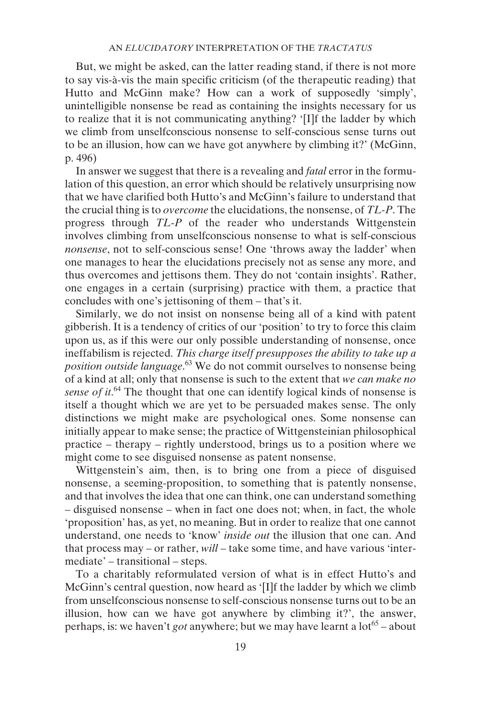But, we might be asked, can the latter reading stand, if there is not more to say vis-à-vis the main specific criticism (of the therapeutic reading) that Hutto and McGinn make? How can a work of supposedly 'simply', unintelligible nonsense be read as containing the insights necessary for us to realize that it is not communicating anything? '[I]f the ladder by which we climb from unselfconscious nonsense to self-conscious sense turns out to be an illusion, how can we have got anywhere by climbing it?' (McGinn, p. 496)

In answer we suggest that there is a revealing and *fatal* error in the formulation of this question, an error which should be relatively unsurprising now that we have clarified both Hutto's and McGinn's failure to understand that the crucial thing is to *overcome* the elucidations, the nonsense, of *TL-P*. The progress through *TL-P* of the reader who understands Wittgenstein involves climbing from unselfconscious nonsense to what is self-conscious *nonsense*, not to self-conscious sense! One 'throws away the ladder' when one manages to hear the elucidations precisely not as sense any more, and thus overcomes and jettisons them. They do not 'contain insights'. Rather, one engages in a certain (surprising) practice with them, a practice that concludes with one's jettisoning of them – that's it.

Similarly, we do not insist on nonsense being all of a kind with patent gibberish. It is a tendency of critics of our 'position' to try to force this claim upon us, as if this were our only possible understanding of nonsense, once ineffabilism is rejected. *This charge itself presupposes the ability to take up a position outside language*. 63 We do not commit ourselves to nonsense being of a kind at all; only that nonsense is such to the extent that *we can make no sense of it*. <sup>64</sup> The thought that one can identify logical kinds of nonsense is itself a thought which we are yet to be persuaded makes sense. The only distinctions we might make are psychological ones. Some nonsense can initially appear to make sense; the practice of Wittgensteinian philosophical practice – therapy – rightly understood, brings us to a position where we might come to see disguised nonsense as patent nonsense.

Wittgenstein's aim, then, is to bring one from a piece of disguised nonsense, a seeming-proposition, to something that is patently nonsense, and that involves the idea that one can think, one can understand something – disguised nonsense – when in fact one does not; when, in fact, the whole 'proposition' has, as yet, no meaning. But in order to realize that one cannot understand, one needs to 'know' *inside out* the illusion that one can. And that process may – or rather, *will* – take some time, and have various 'intermediate' – transitional – steps.

To a charitably reformulated version of what is in effect Hutto's and McGinn's central question, now heard as '[I]f the ladder by which we climb from unselfconscious nonsense to self-conscious nonsense turns out to be an illusion, how can we have got anywhere by climbing it?', the answer, perhaps, is: we haven't *got* anywhere; but we may have learnt a lot<sup>65</sup> – about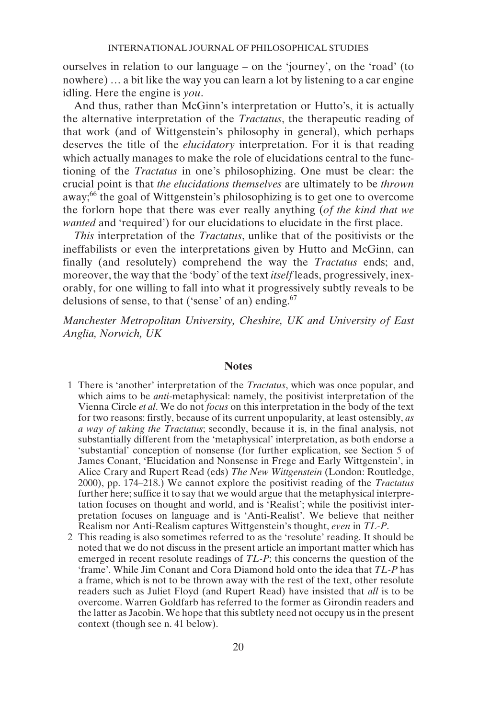ourselves in relation to our language – on the 'journey', on the 'road' (to nowhere) … a bit like the way you can learn a lot by listening to a car engine idling. Here the engine is *you*.

And thus, rather than McGinn's interpretation or Hutto's, it is actually the alternative interpretation of the *Tractatus*, the therapeutic reading of that work (and of Wittgenstein's philosophy in general), which perhaps deserves the title of the *elucidatory* interpretation. For it is that reading which actually manages to make the role of elucidations central to the functioning of the *Tractatus* in one's philosophizing. One must be clear: the crucial point is that *the elucidations themselves* are ultimately to be *thrown* away;66 the goal of Wittgenstein's philosophizing is to get one to overcome the forlorn hope that there was ever really anything (*of the kind that we wanted* and 'required') for our elucidations to elucidate in the first place.

*This* interpretation of the *Tractatus*, unlike that of the positivists or the ineffabilists or even the interpretations given by Hutto and McGinn, can finally (and resolutely) comprehend the way the *Tractatus* ends; and, moreover, the way that the 'body' of the text *itself* leads, progressively, inexorably, for one willing to fall into what it progressively subtly reveals to be delusions of sense, to that ('sense' of an) ending. $67$ 

*Manchester Metropolitan University, Cheshire, UK and University of East Anglia, Norwich, UK*

#### **Notes**

- 1 There is 'another' interpretation of the *Tractatus*, which was once popular, and which aims to be *anti*-metaphysical: namely, the positivist interpretation of the Vienna Circle *et al*. We do not *focus* on this interpretation in the body of the text for two reasons: firstly, because of its current unpopularity, at least ostensibly, *as a way of taking the Tractatus*; secondly, because it is, in the final analysis, not substantially different from the 'metaphysical' interpretation, as both endorse a 'substantial' conception of nonsense (for further explication, see Section 5 of James Conant, 'Elucidation and Nonsense in Frege and Early Wittgenstein', in Alice Crary and Rupert Read (eds) *The New Wittgenstein* (London: Routledge, 2000), pp. 174–218.) We cannot explore the positivist reading of the *Tractatus* further here; suffice it to say that we would argue that the metaphysical interpretation focuses on thought and world, and is 'Realist'; while the positivist interpretation focuses on language and is 'Anti-Realist'. We believe that neither Realism nor Anti-Realism captures Wittgenstein's thought, *even* in *TL-P*.
- 2 This reading is also sometimes referred to as the 'resolute' reading. It should be noted that we do not discuss in the present article an important matter which has emerged in recent resolute readings of *TL-P*; this concerns the question of the 'frame'. While Jim Conant and Cora Diamond hold onto the idea that *TL-P* has a frame, which is not to be thrown away with the rest of the text, other resolute readers such as Juliet Floyd (and Rupert Read) have insisted that *all* is to be overcome. Warren Goldfarb has referred to the former as Girondin readers and the latter as Jacobin. We hope that this subtlety need not occupy us in the present context (though see n. 41 below).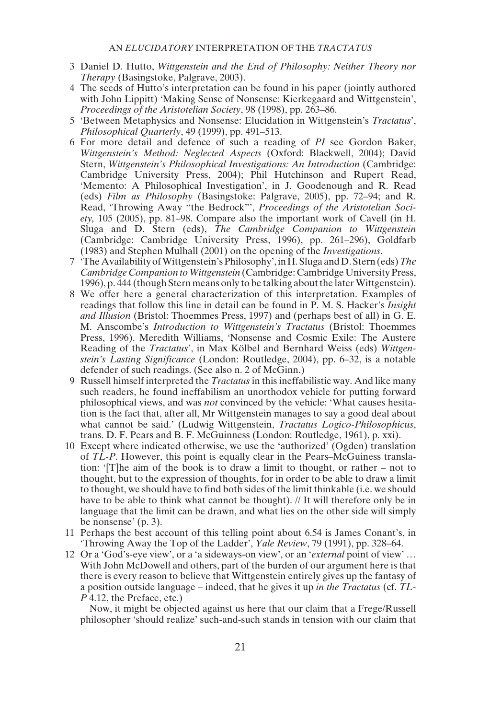- 3 Daniel D. Hutto, *Wittgenstein and the End of Philosophy: Neither Theory nor Therapy* (Basingstoke, Palgrave, 2003).
- 4 The seeds of Hutto's interpretation can be found in his paper (jointly authored with John Lippitt) 'Making Sense of Nonsense: Kierkegaard and Wittgenstein', *Proceedings of the Aristotelian Society*, 98 (1998), pp. 263–86.
- 5 'Between Metaphysics and Nonsense: Elucidation in Wittgenstein's *Tractatus*', *Philosophical Quarterly*, 49 (1999), pp. 491–513.
- 6 For more detail and defence of such a reading of *PI* see Gordon Baker, *Wittgenstein's Method: Neglected Aspects* (Oxford: Blackwell, 2004); David Stern, *Wittgenstein's Philosophical Investigations: An Introduction* (Cambridge: Cambridge University Press, 2004); Phil Hutchinson and Rupert Read, 'Memento: A Philosophical Investigation', in J. Goodenough and R. Read (eds) *Film as Philosophy* (Basingstoke: Palgrave, 2005), pp. 72–94; and R. Read, 'Throwing Away "the Bedrock"', *Proceedings of the Aristotelian Society,* 105 (2005), pp. 81–98. Compare also the important work of Cavell (in H. Sluga and D. Stern (eds), *The Cambridge Companion to Wittgenstein* (Cambridge: Cambridge University Press, 1996), pp. 261–296), Goldfarb (1983) and Stephen Mulhall (2001) on the opening of the *Investigations*.
- 7 'The Availability of Wittgenstein's Philosophy', in H. Sluga and D. Stern (eds) *The Cambridge Companion to Wittgenstein* (Cambridge: Cambridge University Press, 1996), p. 444 (though Stern means only to be talking about the later Wittgenstein).
- 8 We offer here a general characterization of this interpretation. Examples of readings that follow this line in detail can be found in P. M. S. Hacker's *Insight and Illusion* (Bristol: Thoemmes Press, 1997) and (perhaps best of all) in G. E. M. Anscombe's *Introduction to Wittgenstein's Tractatus* (Bristol: Thoemmes Press, 1996). Meredith Williams, 'Nonsense and Cosmic Exile: The Austere Reading of the *Tractatus*', in Max Kölbel and Bernhard Weiss (eds) *Wittgenstein's Lasting Significance* (London: Routledge, 2004), pp. 6–32, is a notable defender of such readings. (See also n. 2 of McGinn.)
- 9 Russell himself interpreted the *Tractatus* in this ineffabilistic way. And like many such readers, he found ineffabilism an unorthodox vehicle for putting forward philosophical views, and was *not* convinced by the vehicle: 'What causes hesitation is the fact that, after all, Mr Wittgenstein manages to say a good deal about what cannot be said.' (Ludwig Wittgenstein, *Tractatus Logico-Philosophicus*, trans. D. F. Pears and B. F. McGuinness (London: Routledge, 1961), p. xxi).
- 10 Except where indicated otherwise, we use the 'authorized' (Ogden) translation of *TL-P*. However, this point is equally clear in the Pears–McGuiness translation: '[T]he aim of the book is to draw a limit to thought, or rather – not to thought, but to the expression of thoughts, for in order to be able to draw a limit to thought, we should have to find both sides of the limit thinkable (i.e. we should have to be able to think what cannot be thought). // It will therefore only be in language that the limit can be drawn, and what lies on the other side will simply be nonsense' (p. 3).
- 11 Perhaps the best account of this telling point about 6.54 is James Conant's, in 'Throwing Away the Top of the Ladder', *Yale Review*, 79 (1991), pp. 328–64.
- 12 Or a 'God's-eye view', or a 'a sideways-on view', or an '*external* point of view' … With John McDowell and others, part of the burden of our argument here is that there is every reason to believe that Wittgenstein entirely gives up the fantasy of a position outside language – indeed, that he gives it up *in the Tractatus* (cf. *TL-P* 4.12, the Preface, etc.)

Now, it might be objected against us here that our claim that a Frege/Russell philosopher 'should realize' such-and-such stands in tension with our claim that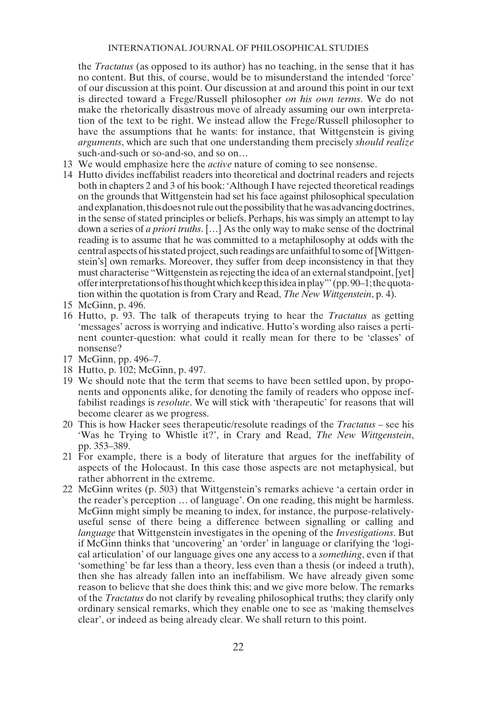#### INTERNATIONAL JOURNAL OF PHILOSOPHICAL STUDIES

the *Tractatus* (as opposed to its author) has no teaching, in the sense that it has no content. But this, of course, would be to misunderstand the intended 'force' of our discussion at this point. Our discussion at and around this point in our text is directed toward a Frege/Russell philosopher *on his own terms*. We do not make the rhetorically disastrous move of already assuming our own interpretation of the text to be right. We instead allow the Frege/Russell philosopher to have the assumptions that he wants: for instance, that Wittgenstein is giving *arguments*, which are such that one understanding them precisely *should realize* such-and-such or so-and-so, and so on…

- 13 We would emphasize here the *active* nature of coming to see nonsense.
- 14 Hutto divides ineffabilist readers into theoretical and doctrinal readers and rejects both in chapters 2 and 3 of his book: 'Although I have rejected theoretical readings on the grounds that Wittgenstein had set his face against philosophical speculation and explanation, this does not rule out the possibility that he was advancing doctrines, in the sense of stated principles or beliefs. Perhaps, his was simply an attempt to lay down a series of *a priori truths*. […] As the only way to make sense of the doctrinal reading is to assume that he was committed to a metaphilosophy at odds with the central aspects of his stated project, such readings are unfaithful to some of [Wittgenstein's] own remarks. Moreover, they suffer from deep inconsistency in that they must characterise "Wittgenstein as rejecting the idea of an external standpoint, [yet] offer interpretations of his thought which keep this idea in play"' (pp. 90–1; the quotation within the quotation is from Crary and Read, *The New Wittgenstein*, p. 4).
- 15 McGinn, p. 496.
- 16 Hutto, p. 93. The talk of therapeuts trying to hear the *Tractatus* as getting 'messages' across is worrying and indicative. Hutto's wording also raises a pertinent counter-question: what could it really mean for there to be 'classes' of nonsense?
- 17 McGinn, pp. 496–7.
- 18 Hutto, p. 102; McGinn, p. 497.
- 19 We should note that the term that seems to have been settled upon, by proponents and opponents alike, for denoting the family of readers who oppose ineffabilist readings is *resolute*. We will stick with 'therapeutic' for reasons that will become clearer as we progress.
- 20 This is how Hacker sees therapeutic/resolute readings of the *Tractatus* see his 'Was he Trying to Whistle it?', in Crary and Read, *The New Wittgenstein*, pp. 353–389.
- 21 For example, there is a body of literature that argues for the ineffability of aspects of the Holocaust. In this case those aspects are not metaphysical, but rather abhorrent in the extreme.
- 22 McGinn writes (p. 503) that Wittgenstein's remarks achieve 'a certain order in the reader's perception … of language'. On one reading, this might be harmless. McGinn might simply be meaning to index, for instance, the purpose-relativelyuseful sense of there being a difference between signalling or calling and *language* that Wittgenstein investigates in the opening of the *Investigations*. But if McGinn thinks that 'uncovering' an 'order' in language or clarifying the 'logical articulation' of our language gives one any access to a *something*, even if that 'something' be far less than a theory, less even than a thesis (or indeed a truth), then she has already fallen into an ineffabilism. We have already given some reason to believe that she does think this; and we give more below. The remarks of the *Tractatus* do not clarify by revealing philosophical truths; they clarify only ordinary sensical remarks, which they enable one to see as 'making themselves clear', or indeed as being already clear. We shall return to this point.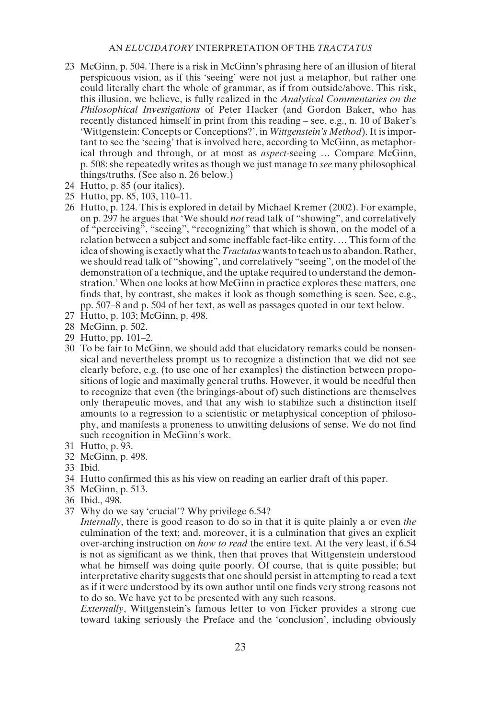- 23 McGinn, p. 504. There is a risk in McGinn's phrasing here of an illusion of literal perspicuous vision, as if this 'seeing' were not just a metaphor, but rather one could literally chart the whole of grammar, as if from outside/above. This risk, this illusion, we believe, is fully realized in the *Analytical Commentaries on the Philosophical Investigations* of Peter Hacker (and Gordon Baker, who has recently distanced himself in print from this reading – see, e.g., n. 10 of Baker's 'Wittgenstein: Concepts or Conceptions?', in *Wittgenstein's Method*). It is important to see the 'seeing' that is involved here, according to McGinn, as metaphorical through and through, or at most as *aspect*-seeing … Compare McGinn, p. 508: she repeatedly writes as though we just manage to *see* many philosophical things/truths. (See also n. 26 below.)
- 24 Hutto, p. 85 (our italics).
- 25 Hutto, pp. 85, 103, 110–11.
- 26 Hutto, p. 124. This is explored in detail by Michael Kremer (2002). For example, on p. 297 he argues that 'We should *not* read talk of "showing", and correlatively of "perceiving", "seeing", "recognizing" that which is shown, on the model of a relation between a subject and some ineffable fact-like entity. … This form of the idea of showing is exactly what the *Tractatus* wants to teach us to abandon. Rather, we should read talk of "showing", and correlatively "seeing", on the model of the demonstration of a technique, and the uptake required to understand the demonstration.' When one looks at how McGinn in practice explores these matters, one finds that, by contrast, she makes it look as though something is seen. See, e.g., pp. 507–8 and p. 504 of her text, as well as passages quoted in our text below.
- 27 Hutto, p. 103; McGinn, p. 498.
- 28 McGinn, p. 502.
- 29 Hutto, pp. 101–2.
- 30 To be fair to McGinn, we should add that elucidatory remarks could be nonsensical and nevertheless prompt us to recognize a distinction that we did not see clearly before, e.g. (to use one of her examples) the distinction between propositions of logic and maximally general truths. However, it would be needful then to recognize that even (the bringings-about of) such distinctions are themselves only therapeutic moves, and that any wish to stabilize such a distinction itself amounts to a regression to a scientistic or metaphysical conception of philosophy, and manifests a proneness to unwitting delusions of sense. We do not find such recognition in McGinn's work.
- 31 Hutto, p. 93.
- 32 McGinn, p. 498.
- 33 Ibid.
- 34 Hutto confirmed this as his view on reading an earlier draft of this paper.
- 35 McGinn, p. 513.
- 36 Ibid., 498.
- 37 Why do we say 'crucial'? Why privilege 6.54?

*Internally*, there is good reason to do so in that it is quite plainly a or even *the* culmination of the text; and, moreover, it is a culmination that gives an explicit over-arching instruction on *how to read* the entire text. At the very least, if 6.54 is not as significant as we think, then that proves that Wittgenstein understood what he himself was doing quite poorly. Of course, that is quite possible; but interpretative charity suggests that one should persist in attempting to read a text as if it were understood by its own author until one finds very strong reasons not to do so. We have yet to be presented with any such reasons.

*Externally*, Wittgenstein's famous letter to von Ficker provides a strong cue toward taking seriously the Preface and the 'conclusion', including obviously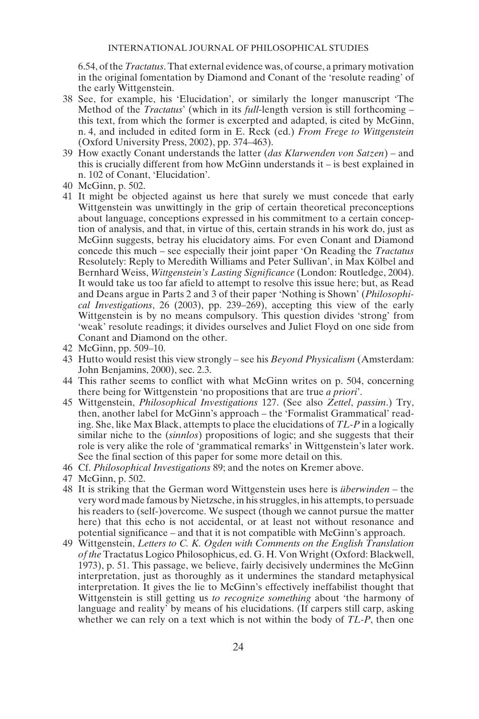6.54, of the *Tractatus*. That external evidence was, of course, a primary motivation in the original fomentation by Diamond and Conant of the 'resolute reading' of the early Wittgenstein.

- 38 See, for example, his 'Elucidation', or similarly the longer manuscript 'The Method of the *Tractatus*' (which in its *full*-length version is still forthcoming – this text, from which the former is excerpted and adapted, is cited by McGinn, n. 4, and included in edited form in E. Reck (ed.) *From Frege to Wittgenstein* (Oxford University Press, 2002), pp. 374–463).
- 39 How exactly Conant understands the latter (*das Klarwenden von Satzen*) and this is crucially different from how McGinn understands it – is best explained in n. 102 of Conant, 'Elucidation'.
- 40 McGinn, p. 502.
- 41 It might be objected against us here that surely we must concede that early Wittgenstein was unwittingly in the grip of certain theoretical preconceptions about language, conceptions expressed in his commitment to a certain conception of analysis, and that, in virtue of this, certain strands in his work do, just as McGinn suggests, betray his elucidatory aims. For even Conant and Diamond concede this much – see especially their joint paper 'On Reading the *Tractatus* Resolutely: Reply to Meredith Williams and Peter Sullivan', in Max Kölbel and Bernhard Weiss, *Wittgenstein's Lasting Significance* (London: Routledge, 2004). It would take us too far afield to attempt to resolve this issue here; but, as Read and Deans argue in Parts 2 and 3 of their paper 'Nothing is Shown' (*Philosophical Investigations*, 26 (2003), pp. 239–269), accepting this view of the early Wittgenstein is by no means compulsory. This question divides 'strong' from 'weak' resolute readings; it divides ourselves and Juliet Floyd on one side from Conant and Diamond on the other.
- 42 McGinn, pp. 509–10.
- 43 Hutto would resist this view strongly see his *Beyond Physicalism* (Amsterdam: John Benjamins, 2000), sec. 2.3.
- 44 This rather seems to conflict with what McGinn writes on p. 504, concerning there being for Wittgenstein 'no propositions that are true *a priori*'.
- 45 Wittgenstein, *Philosophical Investigations* 127. (See also *Zettel*, *passim*.) Try, then, another label for McGinn's approach – the 'Formalist Grammatical' reading. She, like Max Black, attempts to place the elucidations of *TL-P* in a logically similar niche to the (*sinnlos*) propositions of logic; and she suggests that their role is very alike the role of 'grammatical remarks' in Wittgenstein's later work. See the final section of this paper for some more detail on this.
- 46 Cf. *Philosophical Investigations* 89; and the notes on Kremer above.
- 47 McGinn, p. 502.
- 48 It is striking that the German word Wittgenstein uses here is *überwinden* the very word made famous by Nietzsche, in his struggles, in his attempts, to persuade his readers to (self-)overcome. We suspect (though we cannot pursue the matter here) that this echo is not accidental, or at least not without resonance and potential significance – and that it is not compatible with McGinn's approach.
- 49 Wittgenstein, *Letters to C. K. Ogden with Comments on the English Translation of the* Tractatus Logico Philosophicus, ed. G. H. Von Wright (Oxford: Blackwell, 1973), p. 51. This passage, we believe, fairly decisively undermines the McGinn interpretation, just as thoroughly as it undermines the standard metaphysical interpretation. It gives the lie to McGinn's effectively ineffabilist thought that Wittgenstein is still getting us *to recognize something* about 'the harmony of language and reality' by means of his elucidations. (If carpers still carp, asking whether we can rely on a text which is not within the body of *TL-P*, then one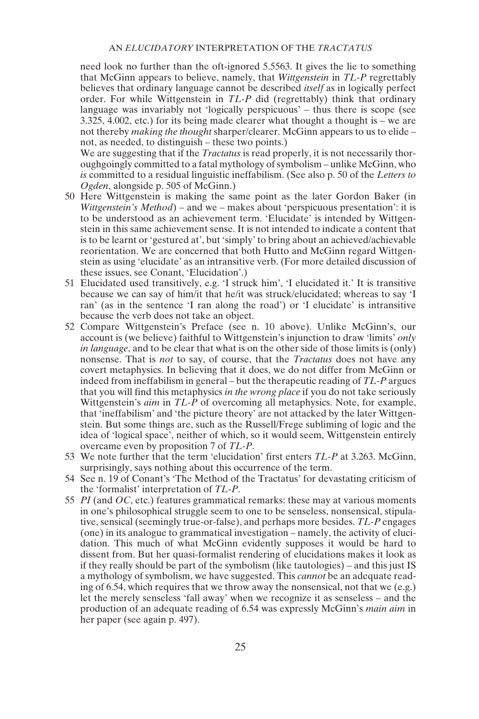need look no further than the oft-ignored 5.5563. It gives the lie to something that McGinn appears to believe, namely, that *Wittgenstein* in *TL-P* regrettably believes that ordinary language cannot be described *itself* as in logically perfect order. For while Wittgenstein in *TL-P* did (regrettably) think that ordinary language was invariably not 'logically perspicuous' – thus there is scope (see 3.325, 4.002, etc.) for its being made clearer what thought a thought is – we are not thereby *making the thought* sharper/clearer. McGinn appears to us to elide – not, as needed, to distinguish – these two points.)

We are suggesting that if the *Tractatus* is read properly, it is not necessarily thoroughgoingly committed to a fatal mythology of symbolism – unlike McGinn, who *is* committed to a residual linguistic ineffabilism. (See also p. 50 of the *Letters to Ogden*, alongside p. 505 of McGinn.)

- 50 Here Wittgenstein is making the same point as the later Gordon Baker (in *Wittgenstein's Method*) – and we – makes about 'perspicuous presentation': it is to be understood as an achievement term. 'Elucidate' is intended by Wittgenstein in this same achievement sense. It is not intended to indicate a content that is to be learnt or 'gestured at', but 'simply' to bring about an achieved/achievable reorientation. We are concerned that both Hutto and McGinn regard Wittgenstein as using 'elucidate' as an intransitive verb. (For more detailed discussion of these issues, see Conant, 'Elucidation'.)
- 51 Elucidated used transitively, e.g. 'I struck him', 'I elucidated it.' It is transitive because we can say of him/it that he/it was struck/elucidated; whereas to say 'I ran' (as in the sentence 'I ran along the road') or 'I elucidate' is intransitive because the verb does not take an object.
- 52 Compare Wittgenstein's Preface (see n. 10 above). Unlike McGinn's, our account is (we believe) faithful to Wittgenstein's injunction to draw 'limits' *only in language*, and to be clear that what is on the other side of those limits is (only) nonsense. That is *not* to say, of course, that the *Tractatus* does not have any covert metaphysics. In believing that it does, we do not differ from McGinn or indeed from ineffabilism in general – but the therapeutic reading of *TL-P* argues that you will find this metaphysics *in the wrong place* if you do not take seriously Wittgenstein's *aim* in *TL-P* of overcoming all metaphysics. Note, for example, that 'ineffabilism' and 'the picture theory' are not attacked by the later Wittgenstein. But some things are, such as the Russell/Frege subliming of logic and the idea of 'logical space', neither of which, so it would seem, Wittgenstein entirely overcame even by proposition 7 of *TL-P*.
- 53 We note further that the term 'elucidation' first enters *TL-P* at 3.263. McGinn, surprisingly, says nothing about this occurrence of the term.
- 54 See n. 19 of Conant's 'The Method of the Tractatus' for devastating criticism of the 'formalist' interpretation of *TL-P*.
- 55 *PI* (and *OC*, etc.) features grammatical remarks: these may at various moments in one's philosophical struggle seem to one to be senseless, nonsensical, stipulative, sensical (seemingly true-or-false), and perhaps more besides. *TL-P* engages (one) in its analogue to grammatical investigation – namely, the activity of elucidation. This much of what McGinn evidently supposes it would be hard to dissent from. But her quasi-formalist rendering of elucidations makes it look as if they really should be part of the symbolism (like tautologies) – and this just IS a mythology of symbolism, we have suggested. This *cannot* be an adequate reading of 6.54, which requires that we throw away the nonsensical, not that we (e.g.) let the merely senseless 'fall away' when we recognize it as senseless – and the production of an adequate reading of 6.54 was expressly McGinn's *main aim* in her paper (see again p. 497).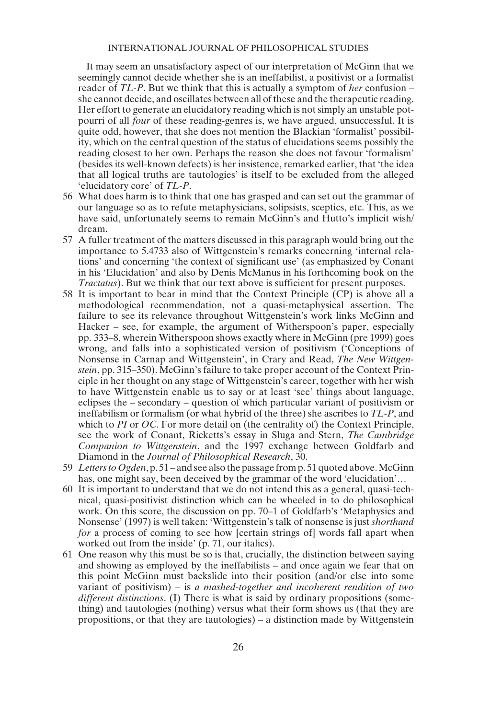#### INTERNATIONAL JOURNAL OF PHILOSOPHICAL STUDIES

It may seem an unsatisfactory aspect of our interpretation of McGinn that we seemingly cannot decide whether she is an ineffabilist, a positivist or a formalist reader of *TL-P*. But we think that this is actually a symptom of *her* confusion – she cannot decide, and oscillates between all of these and the therapeutic reading. Her effort to generate an elucidatory reading which is not simply an unstable potpourri of all *four* of these reading-genres is, we have argued, unsuccessful. It is quite odd, however, that she does not mention the Blackian 'formalist' possibility, which on the central question of the status of elucidations seems possibly the reading closest to her own. Perhaps the reason she does not favour 'formalism' (besides its well-known defects) is her insistence, remarked earlier, that 'the idea that all logical truths are tautologies' is itself to be excluded from the alleged 'elucidatory core' of *TL-P*.

- 56 What does harm is to think that one has grasped and can set out the grammar of our language so as to refute metaphysicians, solipsists, sceptics, etc. This, as we have said, unfortunately seems to remain McGinn's and Hutto's implicit wish/ dream.
- 57 A fuller treatment of the matters discussed in this paragraph would bring out the importance to 5.4733 also of Wittgenstein's remarks concerning 'internal relations' and concerning 'the context of significant use' (as emphasized by Conant in his 'Elucidation' and also by Denis McManus in his forthcoming book on the *Tractatus*). But we think that our text above is sufficient for present purposes.
- 58 It is important to bear in mind that the Context Principle (CP) is above all a methodological recommendation, not a quasi-metaphysical assertion. The failure to see its relevance throughout Wittgenstein's work links McGinn and Hacker – see, for example, the argument of Witherspoon's paper, especially pp. 333–8, wherein Witherspoon shows exactly where in McGinn (pre 1999) goes wrong, and falls into a sophisticated version of positivism ('Conceptions of Nonsense in Carnap and Wittgenstein', in Crary and Read, *The New Wittgenstein*, pp. 315–350). McGinn's failure to take proper account of the Context Principle in her thought on any stage of Wittgenstein's career, together with her wish to have Wittgenstein enable us to say or at least 'see' things about language, eclipses the – secondary – question of which particular variant of positivism or ineffabilism or formalism (or what hybrid of the three) she ascribes to *TL-P*, and which to *PI* or *OC*. For more detail on (the centrality of) the Context Principle, see the work of Conant, Ricketts's essay in Sluga and Stern, *The Cambridge Companion to Wittgenstein*, and the 1997 exchange between Goldfarb and Diamond in the *Journal of Philosophical Research*, 30.
- 59 *Letters to Ogden*, p. 51 and see also the passage from p. 51 quoted above. McGinn has, one might say, been deceived by the grammar of the word 'elucidation'...
- 60 It is important to understand that we do not intend this as a general, quasi-technical, quasi-positivist distinction which can be wheeled in to do philosophical work. On this score, the discussion on pp. 70–1 of Goldfarb's 'Metaphysics and Nonsense' (1997) is well taken: 'Wittgenstein's talk of nonsense is just *shorthand for* a process of coming to see how [certain strings of] words fall apart when worked out from the inside' (p. 71, our italics).
- 61 One reason why this must be so is that, crucially, the distinction between saying and showing as employed by the ineffabilists – and once again we fear that on this point McGinn must backslide into their position (and/or else into some variant of positivism) – is *a mashed-together and incoherent rendition of two different distinctions*. (I) There is what is said by ordinary propositions (something) and tautologies (nothing) versus what their form shows us (that they are propositions, or that they are tautologies) – a distinction made by Wittgenstein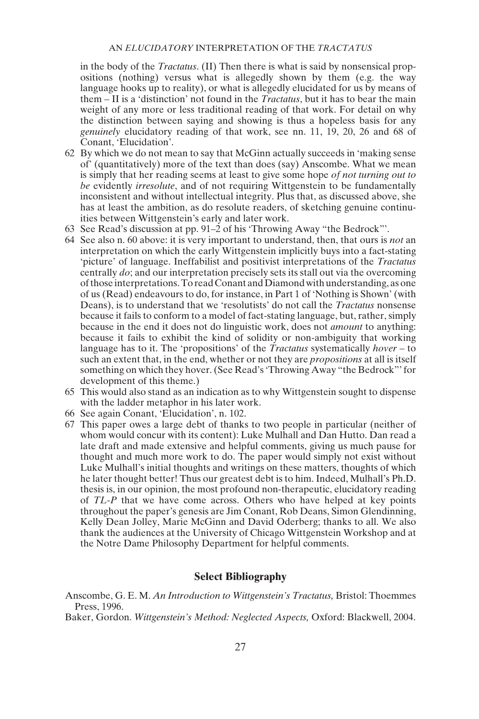#### AN *ELUCIDATORY* INTERPRETATION OF THE *TRACTATUS*

in the body of the *Tractatus*. (II) Then there is what is said by nonsensical propositions (nothing) versus what is allegedly shown by them (e.g. the way language hooks up to reality), or what is allegedly elucidated for us by means of them – II is a 'distinction' not found in the *Tractatus*, but it has to bear the main weight of any more or less traditional reading of that work. For detail on why the distinction between saying and showing is thus a hopeless basis for any *genuinely* elucidatory reading of that work, see nn. 11, 19, 20, 26 and 68 of Conant, 'Elucidation'.

- 62 By which we do not mean to say that McGinn actually succeeds in 'making sense of' (quantitatively) more of the text than does (say) Anscombe. What we mean is simply that her reading seems at least to give some hope *of not turning out to be* evidently *irresolute*, and of not requiring Wittgenstein to be fundamentally inconsistent and without intellectual integrity. Plus that, as discussed above, she has at least the ambition, as do resolute readers, of sketching genuine continuities between Wittgenstein's early and later work.
- 63 See Read's discussion at pp. 91–2 of his 'Throwing Away "the Bedrock"'.
- 64 See also n. 60 above: it is very important to understand, then, that ours is *not* an interpretation on which the early Wittgenstein implicitly buys into a fact-stating 'picture' of language. Ineffabilist and positivist interpretations of the *Tractatus* centrally *do*; and our interpretation precisely sets its stall out via the overcoming of those interpretations. To read Conant and Diamond with understanding, as one of us (Read) endeavours to do, for instance, in Part 1 of 'Nothing is Shown' (with Deans), is to understand that we 'resolutists' do not call the *Tractatus* nonsense because it fails to conform to a model of fact-stating language, but, rather, simply because in the end it does not do linguistic work, does not *amount* to anything: because it fails to exhibit the kind of solidity or non-ambiguity that working language has to it. The 'propositions' of the *Tractatus* systematically *hover* – to such an extent that, in the end, whether or not they are *propositions* at all is itself something on which they hover. (See Read's 'Throwing Away "the Bedrock"' for development of this theme.)
- 65 This would also stand as an indication as to why Wittgenstein sought to dispense with the ladder metaphor in his later work.
- 66 See again Conant, 'Elucidation', n. 102.
- 67 This paper owes a large debt of thanks to two people in particular (neither of whom would concur with its content): Luke Mulhall and Dan Hutto. Dan read a late draft and made extensive and helpful comments, giving us much pause for thought and much more work to do. The paper would simply not exist without Luke Mulhall's initial thoughts and writings on these matters, thoughts of which he later thought better! Thus our greatest debt is to him. Indeed, Mulhall's Ph.D. thesis is, in our opinion, the most profound non-therapeutic, elucidatory reading of *TL-P* that we have come across. Others who have helped at key points throughout the paper's genesis are Jim Conant, Rob Deans, Simon Glendinning, Kelly Dean Jolley, Marie McGinn and David Oderberg; thanks to all. We also thank the audiences at the University of Chicago Wittgenstein Workshop and at the Notre Dame Philosophy Department for helpful comments.

### **Select Bibliography**

Anscombe, G. E. M. *An Introduction to Wittgenstein's Tractatus,* Bristol: Thoemmes Press, 1996.

Baker, Gordon. *Wittgenstein's Method: Neglected Aspects,* Oxford: Blackwell, 2004.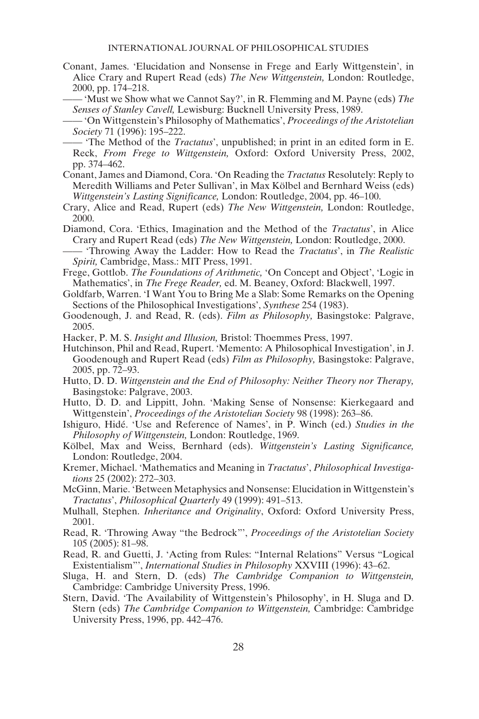- Conant, James. 'Elucidation and Nonsense in Frege and Early Wittgenstein', in Alice Crary and Rupert Read (eds) *The New Wittgenstein,* London: Routledge, 2000, pp. 174–218.
	- —— 'Must we Show what we Cannot Say?', in R. Flemming and M. Payne (eds) *The Senses of Stanley Cavell,* Lewisburg: Bucknell University Press, 1989.
	- —— 'On Wittgenstein's Philosophy of Mathematics', *Proceedings of the Aristotelian Society* 71 (1996): 195–222.
- —— 'The Method of the *Tractatus*', unpublished; in print in an edited form in E. Reck, *From Frege to Wittgenstein,* Oxford: Oxford University Press, 2002, pp. 374–462.
- Conant, James and Diamond, Cora. 'On Reading the *Tractatus* Resolutely: Reply to Meredith Williams and Peter Sullivan', in Max Kölbel and Bernhard Weiss (eds) *Wittgenstein's Lasting Significance,* London: Routledge, 2004, pp. 46–100.
- Crary, Alice and Read, Rupert (eds) *The New Wittgenstein,* London: Routledge, 2000.
- Diamond, Cora. 'Ethics, Imagination and the Method of the *Tractatus*', in Alice Crary and Rupert Read (eds) *The New Wittgenstein,* London: Routledge, 2000.
- —— 'Throwing Away the Ladder: How to Read the *Tractatus*', in *The Realistic Spirit,* Cambridge, Mass.: MIT Press, 1991.
- Frege, Gottlob. *The Foundations of Arithmetic,* 'On Concept and Object', 'Logic in Mathematics', in *The Frege Reader,* ed. M. Beaney, Oxford: Blackwell, 1997.
- Goldfarb, Warren. 'I Want You to Bring Me a Slab: Some Remarks on the Opening Sections of the Philosophical Investigations', *Synthese* 254 (1983).
- Goodenough, J. and Read, R. (eds). *Film as Philosophy,* Basingstoke: Palgrave, 2005.
- Hacker, P. M. S. *Insight and Illusion,* Bristol: Thoemmes Press, 1997.
- Hutchinson, Phil and Read, Rupert. 'Memento: A Philosophical Investigation', in J. Goodenough and Rupert Read (eds) *Film as Philosophy,* Basingstoke: Palgrave, 2005, pp. 72–93.
- Hutto, D. D. *Wittgenstein and the End of Philosophy: Neither Theory nor Therapy,* Basingstoke: Palgrave, 2003.
- Hutto, D. D. and Lippitt, John. 'Making Sense of Nonsense: Kierkegaard and Wittgenstein', *Proceedings of the Aristotelian Society* 98 (1998): 263–86.
- Ishiguro, Hidé. 'Use and Reference of Names', in P. Winch (ed.) *Studies in the Philosophy of Wittgenstein,* London: Routledge, 1969.
- Kölbel, Max and Weiss, Bernhard (eds). *Wittgenstein's Lasting Significance,* London: Routledge, 2004.
- Kremer, Michael. 'Mathematics and Meaning in *Tractatus*', *Philosophical Investigations* 25 (2002): 272–303.
- McGinn, Marie. 'Between Metaphysics and Nonsense: Elucidation in Wittgenstein's *Tractatus*', *Philosophical Quarterly* 49 (1999): 491–513.
- Mulhall, Stephen. *Inheritance and Originality*, Oxford: Oxford University Press, 2001.
- Read, R. 'Throwing Away "the Bedrock"', *Proceedings of the Aristotelian Society* 105 (2005): 81–98.
- Read, R. and Guetti, J. 'Acting from Rules: "Internal Relations" Versus "Logical Existentialism"', *International Studies in Philosophy* XXVIII (1996): 43–62.
- Sluga, H. and Stern, D. (eds) *The Cambridge Companion to Wittgenstein,* Cambridge: Cambridge University Press, 1996.
- Stern, David. 'The Availability of Wittgenstein's Philosophy', in H. Sluga and D. Stern (eds) *The Cambridge Companion to Wittgenstein,* Cambridge: Cambridge University Press, 1996, pp. 442–476.